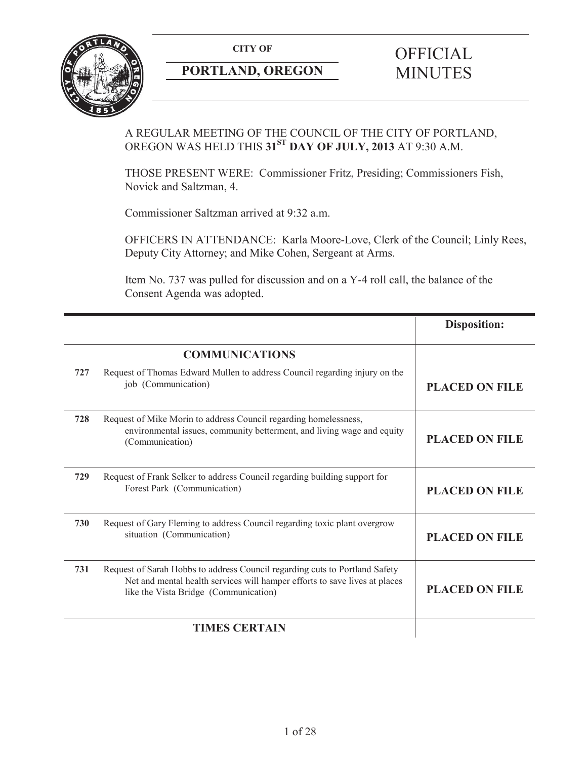

# **PORTLAND, OREGON MINUTES**

# **CITY OF** OFFICIAL

# A REGULAR MEETING OF THE COUNCIL OF THE CITY OF PORTLAND, OREGON WAS HELD THIS **31ST DAY OF JULY, 2013** AT 9:30 A.M.

THOSE PRESENT WERE: Commissioner Fritz, Presiding; Commissioners Fish, Novick and Saltzman, 4.

Commissioner Saltzman arrived at 9:32 a.m.

OFFICERS IN ATTENDANCE: Karla Moore-Love, Clerk of the Council; Linly Rees, Deputy City Attorney; and Mike Cohen, Sergeant at Arms.

Item No. 737 was pulled for discussion and on a Y-4 roll call, the balance of the Consent Agenda was adopted.

|     |                                                                                                                                                                                                    | <b>Disposition:</b>   |
|-----|----------------------------------------------------------------------------------------------------------------------------------------------------------------------------------------------------|-----------------------|
|     | <b>COMMUNICATIONS</b>                                                                                                                                                                              |                       |
| 727 | Request of Thomas Edward Mullen to address Council regarding injury on the<br>job (Communication)                                                                                                  | <b>PLACED ON FILE</b> |
| 728 | Request of Mike Morin to address Council regarding homelessness,<br>environmental issues, community betterment, and living wage and equity<br>(Communication)                                      | <b>PLACED ON FILE</b> |
| 729 | Request of Frank Selker to address Council regarding building support for<br>Forest Park (Communication)                                                                                           | <b>PLACED ON FILE</b> |
| 730 | Request of Gary Fleming to address Council regarding toxic plant overgrow<br>situation (Communication)                                                                                             | <b>PLACED ON FILE</b> |
| 731 | Request of Sarah Hobbs to address Council regarding cuts to Portland Safety<br>Net and mental health services will hamper efforts to save lives at places<br>like the Vista Bridge (Communication) | <b>PLACED ON FILE</b> |
|     | <b>TIMES CERTAIN</b>                                                                                                                                                                               |                       |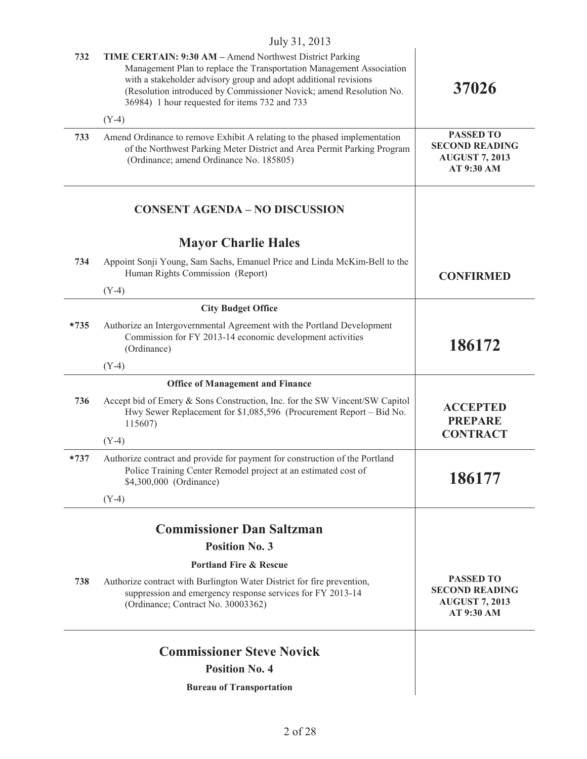|        | $J^{\text{U}}$ l, $\angle$ UIJ                                                                                                                                                                                                                                                                                               |                                                                                         |
|--------|------------------------------------------------------------------------------------------------------------------------------------------------------------------------------------------------------------------------------------------------------------------------------------------------------------------------------|-----------------------------------------------------------------------------------------|
| 732    | TIME CERTAIN: 9:30 AM - Amend Northwest District Parking<br>Management Plan to replace the Transportation Management Association<br>with a stakeholder advisory group and adopt additional revisions<br>(Resolution introduced by Commissioner Novick; amend Resolution No.<br>36984) 1 hour requested for items 732 and 733 | 37026                                                                                   |
|        | $(Y-4)$                                                                                                                                                                                                                                                                                                                      |                                                                                         |
| 733    | Amend Ordinance to remove Exhibit A relating to the phased implementation<br>of the Northwest Parking Meter District and Area Permit Parking Program<br>(Ordinance; amend Ordinance No. 185805)                                                                                                                              | <b>PASSED TO</b><br><b>SECOND READING</b><br><b>AUGUST 7, 2013</b><br>AT 9:30 AM        |
|        | <b>CONSENT AGENDA - NO DISCUSSION</b>                                                                                                                                                                                                                                                                                        |                                                                                         |
|        | <b>Mayor Charlie Hales</b>                                                                                                                                                                                                                                                                                                   |                                                                                         |
| 734    | Appoint Sonji Young, Sam Sachs, Emanuel Price and Linda McKim-Bell to the<br>Human Rights Commission (Report)<br>$(Y-4)$                                                                                                                                                                                                     | <b>CONFIRMED</b>                                                                        |
|        | <b>City Budget Office</b>                                                                                                                                                                                                                                                                                                    |                                                                                         |
| $*735$ | Authorize an Intergovernmental Agreement with the Portland Development<br>Commission for FY 2013-14 economic development activities<br>(Ordinance)                                                                                                                                                                           | 186172                                                                                  |
|        | $(Y-4)$                                                                                                                                                                                                                                                                                                                      |                                                                                         |
|        | <b>Office of Management and Finance</b>                                                                                                                                                                                                                                                                                      |                                                                                         |
| 736    | Accept bid of Emery & Sons Construction, Inc. for the SW Vincent/SW Capitol<br>Hwy Sewer Replacement for \$1,085,596 (Procurement Report – Bid No.<br>115607)                                                                                                                                                                | <b>ACCEPTED</b><br><b>PREPARE</b><br><b>CONTRACT</b>                                    |
|        | $(Y-4)$                                                                                                                                                                                                                                                                                                                      |                                                                                         |
| $*737$ | Authorize contract and provide for payment for construction of the Portland<br>Police Training Center Remodel project at an estimated cost of<br>\$4,300,000 (Ordinance)                                                                                                                                                     | 186177                                                                                  |
|        | $(Y-4)$                                                                                                                                                                                                                                                                                                                      |                                                                                         |
|        | <b>Commissioner Dan Saltzman</b>                                                                                                                                                                                                                                                                                             |                                                                                         |
|        | <b>Position No. 3</b>                                                                                                                                                                                                                                                                                                        |                                                                                         |
|        | <b>Portland Fire &amp; Rescue</b>                                                                                                                                                                                                                                                                                            |                                                                                         |
| 738    | Authorize contract with Burlington Water District for fire prevention,<br>suppression and emergency response services for FY 2013-14<br>(Ordinance; Contract No. 30003362)                                                                                                                                                   | <b>PASSED TO</b><br><b>SECOND READING</b><br><b>AUGUST 7, 2013</b><br><b>AT 9:30 AM</b> |
|        | <b>Commissioner Steve Novick</b>                                                                                                                                                                                                                                                                                             |                                                                                         |
|        | <b>Position No. 4</b>                                                                                                                                                                                                                                                                                                        |                                                                                         |
|        | <b>Bureau of Transportation</b>                                                                                                                                                                                                                                                                                              |                                                                                         |
|        |                                                                                                                                                                                                                                                                                                                              |                                                                                         |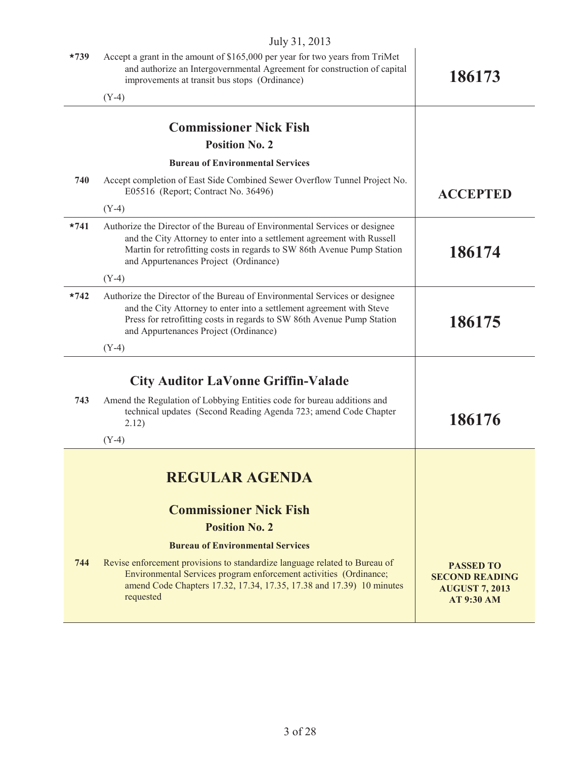|        | $July$ $J1, 201J$                                                                                                                                                                                                                                                         |                                                                                         |
|--------|---------------------------------------------------------------------------------------------------------------------------------------------------------------------------------------------------------------------------------------------------------------------------|-----------------------------------------------------------------------------------------|
| $*739$ | Accept a grant in the amount of \$165,000 per year for two years from TriMet<br>and authorize an Intergovernmental Agreement for construction of capital<br>improvements at transit bus stops (Ordinance)                                                                 | 186173                                                                                  |
|        | $(Y-4)$                                                                                                                                                                                                                                                                   |                                                                                         |
|        | <b>Commissioner Nick Fish</b>                                                                                                                                                                                                                                             |                                                                                         |
|        | <b>Position No. 2</b>                                                                                                                                                                                                                                                     |                                                                                         |
|        | <b>Bureau of Environmental Services</b>                                                                                                                                                                                                                                   |                                                                                         |
| 740    | Accept completion of East Side Combined Sewer Overflow Tunnel Project No.<br>E05516 (Report; Contract No. 36496)                                                                                                                                                          | <b>ACCEPTED</b>                                                                         |
|        | $(Y-4)$                                                                                                                                                                                                                                                                   |                                                                                         |
| $*741$ | Authorize the Director of the Bureau of Environmental Services or designee<br>and the City Attorney to enter into a settlement agreement with Russell<br>Martin for retrofitting costs in regards to SW 86th Avenue Pump Station<br>and Appurtenances Project (Ordinance) | 186174                                                                                  |
|        | $(Y-4)$                                                                                                                                                                                                                                                                   |                                                                                         |
| $*742$ | Authorize the Director of the Bureau of Environmental Services or designee<br>and the City Attorney to enter into a settlement agreement with Steve<br>Press for retrofitting costs in regards to SW 86th Avenue Pump Station<br>and Appurtenances Project (Ordinance)    | 186175                                                                                  |
|        | $(Y-4)$                                                                                                                                                                                                                                                                   |                                                                                         |
|        | <b>City Auditor LaVonne Griffin-Valade</b>                                                                                                                                                                                                                                |                                                                                         |
| 743    | Amend the Regulation of Lobbying Entities code for bureau additions and<br>technical updates (Second Reading Agenda 723; amend Code Chapter<br>2.12)                                                                                                                      | 186176                                                                                  |
|        | $(Y-4)$                                                                                                                                                                                                                                                                   |                                                                                         |
|        | <b>REGULAR AGENDA</b>                                                                                                                                                                                                                                                     |                                                                                         |
|        | <b>Commissioner Nick Fish</b>                                                                                                                                                                                                                                             |                                                                                         |
|        | <b>Position No. 2</b>                                                                                                                                                                                                                                                     |                                                                                         |
|        | <b>Bureau of Environmental Services</b>                                                                                                                                                                                                                                   |                                                                                         |
| 744    | Revise enforcement provisions to standardize language related to Bureau of<br>Environmental Services program enforcement activities (Ordinance;<br>amend Code Chapters 17.32, 17.34, 17.35, 17.38 and 17.39) 10 minutes<br>requested                                      | <b>PASSED TO</b><br><b>SECOND READING</b><br><b>AUGUST 7, 2013</b><br><b>AT 9:30 AM</b> |
|        |                                                                                                                                                                                                                                                                           |                                                                                         |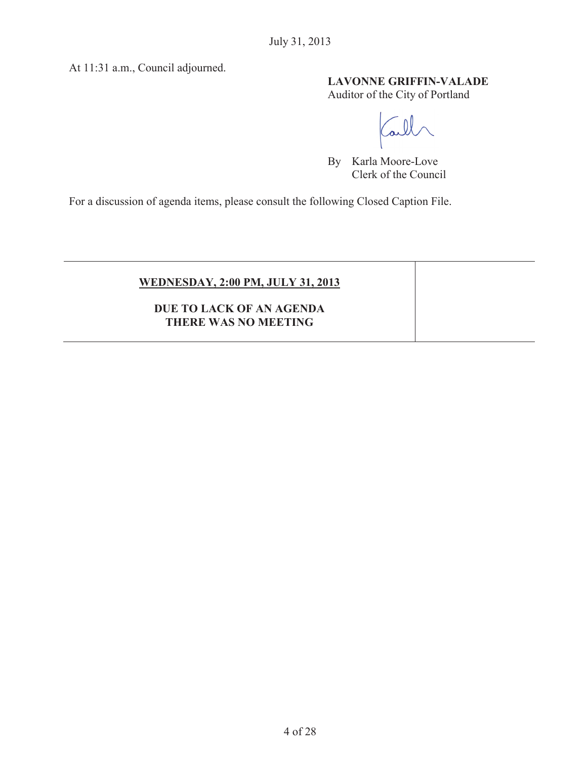At 11:31 a.m., Council adjourned.

# **LAVONNE GRIFFIN-VALADE**

Auditor of the City of Portland

 $\Omega$  $\alpha$ 

By Karla Moore-Love Clerk of the Council

For a discussion of agenda items, please consult the following Closed Caption File.

| <b>WEDNESDAY, 2:00 PM, JULY 31, 2013</b>         |  |
|--------------------------------------------------|--|
| DUE TO LACK OF AN AGENDA<br>THERE WAS NO MEETING |  |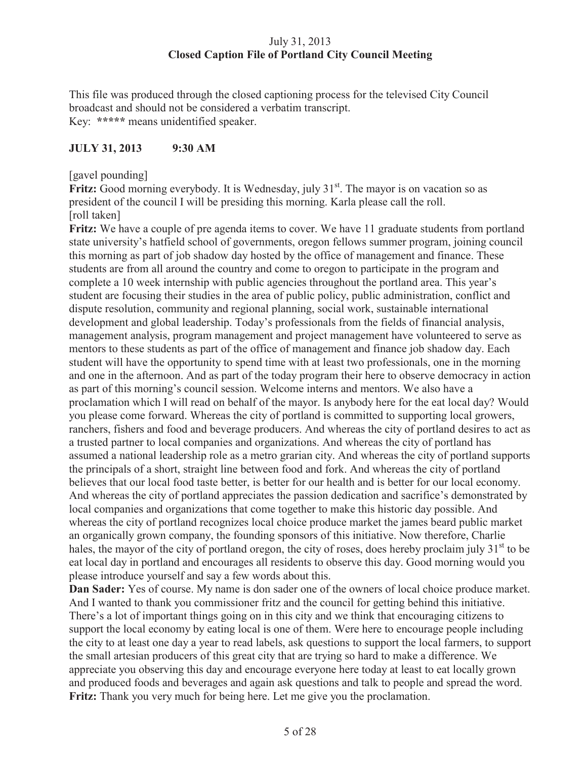# July 31, 2013 **Closed Caption File of Portland City Council Meeting**

This file was produced through the closed captioning process for the televised City Council broadcast and should not be considered a verbatim transcript. Key: **\*\*\*\*\*** means unidentified speaker.

# **JULY 31, 2013 9:30 AM**

[gavel pounding]

**Fritz:** Good morning everybody. It is Wednesday, july 31<sup>st</sup>. The mayor is on vacation so as president of the council I will be presiding this morning. Karla please call the roll. [roll taken]

Fritz: We have a couple of pre agenda items to cover. We have 11 graduate students from portland state university's hatfield school of governments, oregon fellows summer program, joining council this morning as part of job shadow day hosted by the office of management and finance. These students are from all around the country and come to oregon to participate in the program and complete a 10 week internship with public agencies throughout the portland area. This year's student are focusing their studies in the area of public policy, public administration, conflict and dispute resolution, community and regional planning, social work, sustainable international development and global leadership. Today's professionals from the fields of financial analysis, management analysis, program management and project management have volunteered to serve as mentors to these students as part of the office of management and finance job shadow day. Each student will have the opportunity to spend time with at least two professionals, one in the morning and one in the afternoon. And as part of the today program their here to observe democracy in action as part of this morning's council session. Welcome interns and mentors. We also have a proclamation which I will read on behalf of the mayor. Is anybody here for the eat local day? Would you please come forward. Whereas the city of portland is committed to supporting local growers, ranchers, fishers and food and beverage producers. And whereas the city of portland desires to act as a trusted partner to local companies and organizations. And whereas the city of portland has assumed a national leadership role as a metro grarian city. And whereas the city of portland supports the principals of a short, straight line between food and fork. And whereas the city of portland believes that our local food taste better, is better for our health and is better for our local economy. And whereas the city of portland appreciates the passion dedication and sacrifice's demonstrated by local companies and organizations that come together to make this historic day possible. And whereas the city of portland recognizes local choice produce market the james beard public market an organically grown company, the founding sponsors of this initiative. Now therefore, Charlie hales, the mayor of the city of portland oregon, the city of roses, does hereby proclaim july  $31<sup>st</sup>$  to be eat local day in portland and encourages all residents to observe this day. Good morning would you please introduce yourself and say a few words about this.

**Dan Sader:** Yes of course. My name is don sader one of the owners of local choice produce market. And I wanted to thank you commissioner fritz and the council for getting behind this initiative. There's a lot of important things going on in this city and we think that encouraging citizens to support the local economy by eating local is one of them. Were here to encourage people including the city to at least one day a year to read labels, ask questions to support the local farmers, to support the small artesian producers of this great city that are trying so hard to make a difference. We appreciate you observing this day and encourage everyone here today at least to eat locally grown and produced foods and beverages and again ask questions and talk to people and spread the word. **Fritz:** Thank you very much for being here. Let me give you the proclamation.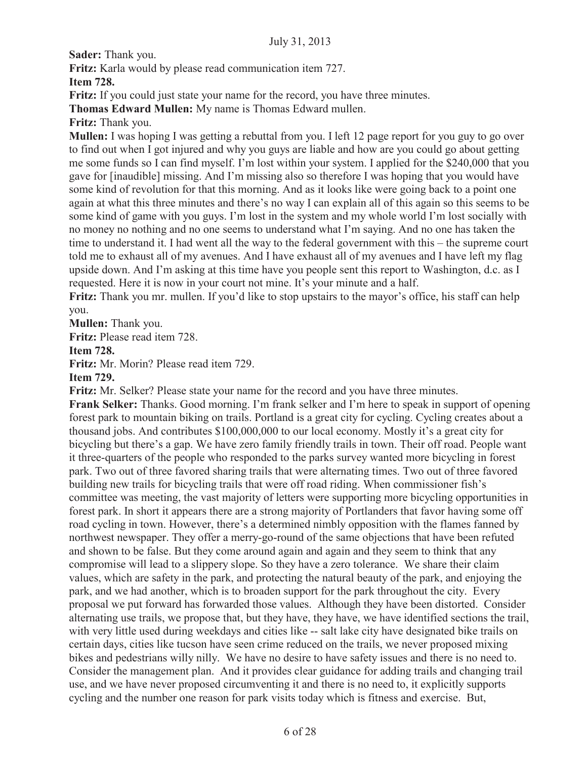**Sader:** Thank you.

**Fritz:** Karla would by please read communication item 727.

**Item 728.**

**Fritz:** If you could just state your name for the record, you have three minutes.

**Thomas Edward Mullen:** My name is Thomas Edward mullen.

**Fritz:** Thank you.

**Mullen:** I was hoping I was getting a rebuttal from you. I left 12 page report for you guy to go over to find out when I got injured and why you guys are liable and how are you could go about getting me some funds so I can find myself. I'm lost within your system. I applied for the \$240,000 that you gave for [inaudible] missing. And I'm missing also so therefore I was hoping that you would have some kind of revolution for that this morning. And as it looks like were going back to a point one again at what this three minutes and there's no way I can explain all of this again so this seems to be some kind of game with you guys. I'm lost in the system and my whole world I'm lost socially with no money no nothing and no one seems to understand what I'm saying. And no one has taken the time to understand it. I had went all the way to the federal government with this – the supreme court told me to exhaust all of my avenues. And I have exhaust all of my avenues and I have left my flag upside down. And I'm asking at this time have you people sent this report to Washington, d.c. as I requested. Here it is now in your court not mine. It's your minute and a half.

**Fritz:** Thank you mr. mullen. If you'd like to stop upstairs to the mayor's office, his staff can help you.

**Mullen:** Thank you.

**Fritz:** Please read item 728.

**Item 728.**

**Fritz:** Mr. Morin? Please read item 729.

**Item 729.**

**Fritz:** Mr. Selker? Please state your name for the record and you have three minutes.

**Frank Selker:** Thanks. Good morning. I'm frank selker and I'm here to speak in support of opening forest park to mountain biking on trails. Portland is a great city for cycling. Cycling creates about a thousand jobs. And contributes \$100,000,000 to our local economy. Mostly it's a great city for bicycling but there's a gap. We have zero family friendly trails in town. Their off road. People want it three-quarters of the people who responded to the parks survey wanted more bicycling in forest park. Two out of three favored sharing trails that were alternating times. Two out of three favored building new trails for bicycling trails that were off road riding. When commissioner fish's committee was meeting, the vast majority of letters were supporting more bicycling opportunities in forest park. In short it appears there are a strong majority of Portlanders that favor having some off road cycling in town. However, there's a determined nimbly opposition with the flames fanned by northwest newspaper. They offer a merry-go-round of the same objections that have been refuted and shown to be false. But they come around again and again and they seem to think that any compromise will lead to a slippery slope. So they have a zero tolerance. We share their claim values, which are safety in the park, and protecting the natural beauty of the park, and enjoying the park, and we had another, which is to broaden support for the park throughout the city. Every proposal we put forward has forwarded those values. Although they have been distorted. Consider alternating use trails, we propose that, but they have, they have, we have identified sections the trail, with very little used during weekdays and cities like -- salt lake city have designated bike trails on certain days, cities like tucson have seen crime reduced on the trails, we never proposed mixing bikes and pedestrians willy nilly. We have no desire to have safety issues and there is no need to. Consider the management plan. And it provides clear guidance for adding trails and changing trail use, and we have never proposed circumventing it and there is no need to, it explicitly supports cycling and the number one reason for park visits today which is fitness and exercise. But,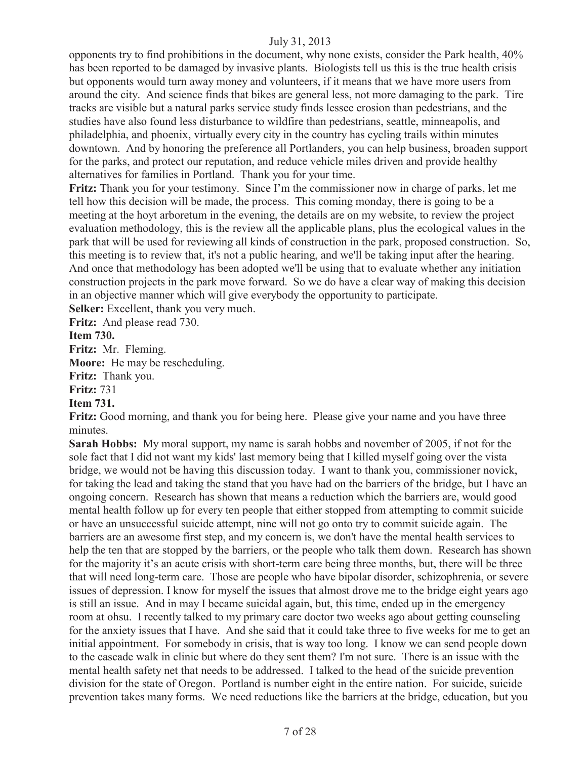opponents try to find prohibitions in the document, why none exists, consider the Park health, 40% has been reported to be damaged by invasive plants. Biologists tell us this is the true health crisis but opponents would turn away money and volunteers, if it means that we have more users from around the city. And science finds that bikes are general less, not more damaging to the park. Tire tracks are visible but a natural parks service study finds lessee erosion than pedestrians, and the studies have also found less disturbance to wildfire than pedestrians, seattle, minneapolis, and philadelphia, and phoenix, virtually every city in the country has cycling trails within minutes downtown. And by honoring the preference all Portlanders, you can help business, broaden support for the parks, and protect our reputation, and reduce vehicle miles driven and provide healthy alternatives for families in Portland. Thank you for your time.

**Fritz:** Thank you for your testimony. Since I'm the commissioner now in charge of parks, let me tell how this decision will be made, the process. This coming monday, there is going to be a meeting at the hoyt arboretum in the evening, the details are on my website, to review the project evaluation methodology, this is the review all the applicable plans, plus the ecological values in the park that will be used for reviewing all kinds of construction in the park, proposed construction. So, this meeting is to review that, it's not a public hearing, and we'll be taking input after the hearing. And once that methodology has been adopted we'll be using that to evaluate whether any initiation construction projects in the park move forward. So we do have a clear way of making this decision in an objective manner which will give everybody the opportunity to participate.

**Selker:** Excellent, thank you very much.

**Fritz:** And please read 730.

**Item 730.**

**Fritz:** Mr. Fleming.

**Moore:** He may be rescheduling.

**Fritz:** Thank you.

**Fritz:** 731

# **Item 731.**

**Fritz:** Good morning, and thank you for being here. Please give your name and you have three minutes.

**Sarah Hobbs:** My moral support, my name is sarah hobbs and november of 2005, if not for the sole fact that I did not want my kids' last memory being that I killed myself going over the vista bridge, we would not be having this discussion today. I want to thank you, commissioner novick, for taking the lead and taking the stand that you have had on the barriers of the bridge, but I have an ongoing concern. Research has shown that means a reduction which the barriers are, would good mental health follow up for every ten people that either stopped from attempting to commit suicide or have an unsuccessful suicide attempt, nine will not go onto try to commit suicide again. The barriers are an awesome first step, and my concern is, we don't have the mental health services to help the ten that are stopped by the barriers, or the people who talk them down. Research has shown for the majority it's an acute crisis with short-term care being three months, but, there will be three that will need long-term care. Those are people who have bipolar disorder, schizophrenia, or severe issues of depression. I know for myself the issues that almost drove me to the bridge eight years ago is still an issue. And in may I became suicidal again, but, this time, ended up in the emergency room at ohsu. I recently talked to my primary care doctor two weeks ago about getting counseling for the anxiety issues that I have. And she said that it could take three to five weeks for me to get an initial appointment. For somebody in crisis, that is way too long. I know we can send people down to the cascade walk in clinic but where do they sent them? I'm not sure. There is an issue with the mental health safety net that needs to be addressed. I talked to the head of the suicide prevention division for the state of Oregon. Portland is number eight in the entire nation. For suicide, suicide prevention takes many forms. We need reductions like the barriers at the bridge, education, but you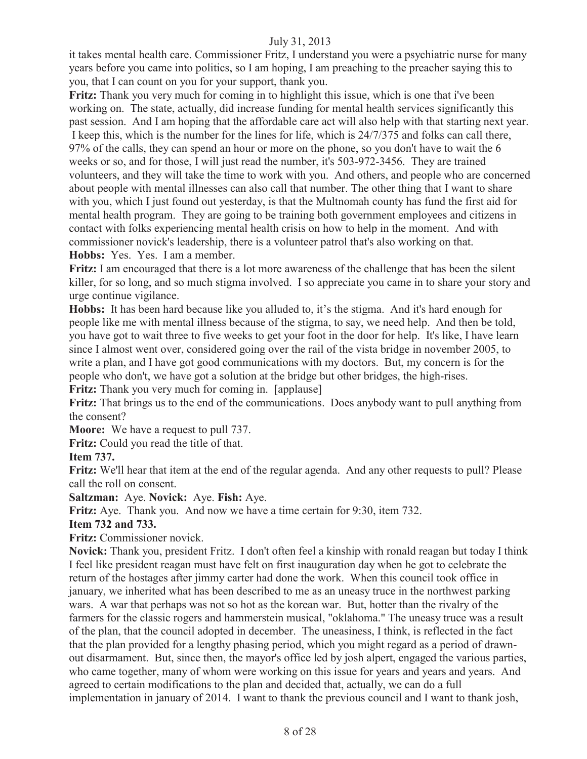it takes mental health care. Commissioner Fritz, I understand you were a psychiatric nurse for many years before you came into politics, so I am hoping, I am preaching to the preacher saying this to you, that I can count on you for your support, thank you.

**Fritz:** Thank you very much for coming in to highlight this issue, which is one that i've been working on. The state, actually, did increase funding for mental health services significantly this past session. And I am hoping that the affordable care act will also help with that starting next year. I keep this, which is the number for the lines for life, which is 24/7/375 and folks can call there, 97% of the calls, they can spend an hour or more on the phone, so you don't have to wait the 6 weeks or so, and for those, I will just read the number, it's 503-972-3456. They are trained volunteers, and they will take the time to work with you. And others, and people who are concerned about people with mental illnesses can also call that number. The other thing that I want to share with you, which I just found out vesterday, is that the Multnomah county has fund the first aid for mental health program. They are going to be training both government employees and citizens in contact with folks experiencing mental health crisis on how to help in the moment. And with commissioner novick's leadership, there is a volunteer patrol that's also working on that. **Hobbs:** Yes. Yes. I am a member.

**Fritz:** I am encouraged that there is a lot more awareness of the challenge that has been the silent killer, for so long, and so much stigma involved. I so appreciate you came in to share your story and urge continue vigilance.

**Hobbs:** It has been hard because like you alluded to, it's the stigma. And it's hard enough for people like me with mental illness because of the stigma, to say, we need help. And then be told, you have got to wait three to five weeks to get your foot in the door for help. It's like, I have learn since I almost went over, considered going over the rail of the vista bridge in november 2005, to write a plan, and I have got good communications with my doctors. But, my concern is for the people who don't, we have got a solution at the bridge but other bridges, the high-rises.

**Fritz:** Thank you very much for coming in. [applause]

**Fritz:** That brings us to the end of the communications. Does anybody want to pull anything from the consent?

**Moore:** We have a request to pull 737.

**Fritz:** Could you read the title of that.

#### **Item 737.**

**Fritz:** We'll hear that item at the end of the regular agenda. And any other requests to pull? Please call the roll on consent.

### **Saltzman:** Aye. **Novick:** Aye. **Fish:** Aye.

**Fritz:** Aye. Thank you. And now we have a time certain for 9:30, item 732.

**Item 732 and 733.**

**Fritz:** Commissioner novick.

**Novick:** Thank you, president Fritz. I don't often feel a kinship with ronald reagan but today I think I feel like president reagan must have felt on first inauguration day when he got to celebrate the return of the hostages after jimmy carter had done the work. When this council took office in january, we inherited what has been described to me as an uneasy truce in the northwest parking wars. A war that perhaps was not so hot as the korean war. But, hotter than the rivalry of the farmers for the classic rogers and hammerstein musical, "oklahoma." The uneasy truce was a result of the plan, that the council adopted in december. The uneasiness, I think, is reflected in the fact that the plan provided for a lengthy phasing period, which you might regard as a period of drawnout disarmament. But, since then, the mayor's office led by josh alpert, engaged the various parties, who came together, many of whom were working on this issue for years and years and years. And agreed to certain modifications to the plan and decided that, actually, we can do a full implementation in january of 2014. I want to thank the previous council and I want to thank josh,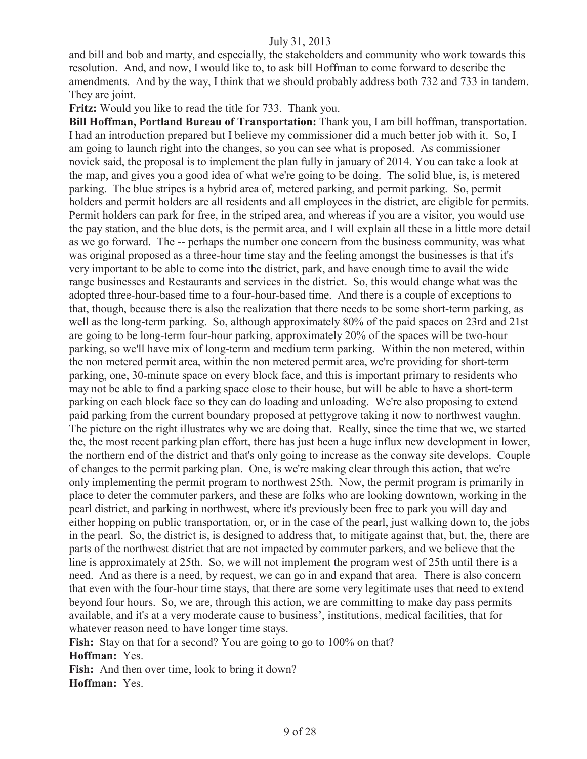and bill and bob and marty, and especially, the stakeholders and community who work towards this resolution. And, and now, I would like to, to ask bill Hoffman to come forward to describe the amendments. And by the way, I think that we should probably address both 732 and 733 in tandem. They are joint.

**Fritz:** Would you like to read the title for 733. Thank you.

**Bill Hoffman, Portland Bureau of Transportation:** Thank you, I am bill hoffman, transportation. I had an introduction prepared but I believe my commissioner did a much better job with it. So, I am going to launch right into the changes, so you can see what is proposed. As commissioner novick said, the proposal is to implement the plan fully in january of 2014. You can take a look at the map, and gives you a good idea of what we're going to be doing. The solid blue, is, is metered parking. The blue stripes is a hybrid area of, metered parking, and permit parking. So, permit holders and permit holders are all residents and all employees in the district, are eligible for permits. Permit holders can park for free, in the striped area, and whereas if you are a visitor, you would use the pay station, and the blue dots, is the permit area, and I will explain all these in a little more detail as we go forward. The -- perhaps the number one concern from the business community, was what was original proposed as a three-hour time stay and the feeling amongst the businesses is that it's very important to be able to come into the district, park, and have enough time to avail the wide range businesses and Restaurants and services in the district. So, this would change what was the adopted three-hour-based time to a four-hour-based time. And there is a couple of exceptions to that, though, because there is also the realization that there needs to be some short-term parking, as well as the long-term parking. So, although approximately 80% of the paid spaces on 23rd and 21st are going to be long-term four-hour parking, approximately 20% of the spaces will be two-hour parking, so we'll have mix of long-term and medium term parking. Within the non metered, within the non metered permit area, within the non metered permit area, we're providing for short-term parking, one, 30-minute space on every block face, and this is important primary to residents who may not be able to find a parking space close to their house, but will be able to have a short-term parking on each block face so they can do loading and unloading. We're also proposing to extend paid parking from the current boundary proposed at pettygrove taking it now to northwest vaughn. The picture on the right illustrates why we are doing that. Really, since the time that we, we started the, the most recent parking plan effort, there has just been a huge influx new development in lower, the northern end of the district and that's only going to increase as the conway site develops. Couple of changes to the permit parking plan. One, is we're making clear through this action, that we're only implementing the permit program to northwest 25th. Now, the permit program is primarily in place to deter the commuter parkers, and these are folks who are looking downtown, working in the pearl district, and parking in northwest, where it's previously been free to park you will day and either hopping on public transportation, or, or in the case of the pearl, just walking down to, the jobs in the pearl. So, the district is, is designed to address that, to mitigate against that, but, the, there are parts of the northwest district that are not impacted by commuter parkers, and we believe that the line is approximately at 25th. So, we will not implement the program west of 25th until there is a need. And as there is a need, by request, we can go in and expand that area. There is also concern that even with the four-hour time stays, that there are some very legitimate uses that need to extend beyond four hours. So, we are, through this action, we are committing to make day pass permits available, and it's at a very moderate cause to business', institutions, medical facilities, that for whatever reason need to have longer time stays.

**Fish:** Stay on that for a second? You are going to go to 100% on that? **Hoffman:** Yes.

**Fish:** And then over time, look to bring it down? **Hoffman:** Yes.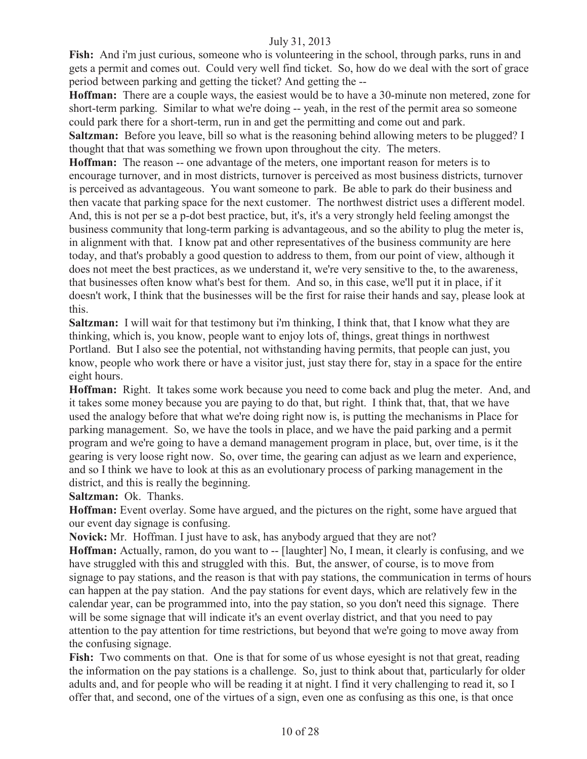**Fish:** And i'm just curious, someone who is volunteering in the school, through parks, runs in and gets a permit and comes out. Could very well find ticket. So, how do we deal with the sort of grace period between parking and getting the ticket? And getting the --

**Hoffman:** There are a couple ways, the easiest would be to have a 30-minute non metered, zone for short-term parking. Similar to what we're doing -- yeah, in the rest of the permit area so someone could park there for a short-term, run in and get the permitting and come out and park.

**Saltzman:** Before you leave, bill so what is the reasoning behind allowing meters to be plugged? I thought that that was something we frown upon throughout the city. The meters.

**Hoffman:** The reason -- one advantage of the meters, one important reason for meters is to encourage turnover, and in most districts, turnover is perceived as most business districts, turnover is perceived as advantageous. You want someone to park. Be able to park do their business and then vacate that parking space for the next customer. The northwest district uses a different model. And, this is not per se a p-dot best practice, but, it's, it's a very strongly held feeling amongst the business community that long-term parking is advantageous, and so the ability to plug the meter is, in alignment with that. I know pat and other representatives of the business community are here today, and that's probably a good question to address to them, from our point of view, although it does not meet the best practices, as we understand it, we're very sensitive to the, to the awareness, that businesses often know what's best for them. And so, in this case, we'll put it in place, if it doesn't work, I think that the businesses will be the first for raise their hands and say, please look at this.

**Saltzman:** I will wait for that testimony but i'm thinking, I think that, that I know what they are thinking, which is, you know, people want to enjoy lots of, things, great things in northwest Portland. But I also see the potential, not withstanding having permits, that people can just, you know, people who work there or have a visitor just, just stay there for, stay in a space for the entire eight hours.

**Hoffman:** Right. It takes some work because you need to come back and plug the meter. And, and it takes some money because you are paying to do that, but right. I think that, that, that we have used the analogy before that what we're doing right now is, is putting the mechanisms in Place for parking management. So, we have the tools in place, and we have the paid parking and a permit program and we're going to have a demand management program in place, but, over time, is it the gearing is very loose right now. So, over time, the gearing can adjust as we learn and experience, and so I think we have to look at this as an evolutionary process of parking management in the district, and this is really the beginning.

**Saltzman:** Ok. Thanks.

**Hoffman:** Event overlay. Some have argued, and the pictures on the right, some have argued that our event day signage is confusing.

**Novick:** Mr. Hoffman. I just have to ask, has anybody argued that they are not?

**Hoffman:** Actually, ramon, do you want to -- [laughter] No, I mean, it clearly is confusing, and we have struggled with this and struggled with this. But, the answer, of course, is to move from signage to pay stations, and the reason is that with pay stations, the communication in terms of hours can happen at the pay station. And the pay stations for event days, which are relatively few in the calendar year, can be programmed into, into the pay station, so you don't need this signage. There will be some signage that will indicate it's an event overlay district, and that you need to pay attention to the pay attention for time restrictions, but beyond that we're going to move away from the confusing signage.

**Fish:** Two comments on that. One is that for some of us whose eyesight is not that great, reading the information on the pay stations is a challenge. So, just to think about that, particularly for older adults and, and for people who will be reading it at night. I find it very challenging to read it, so I offer that, and second, one of the virtues of a sign, even one as confusing as this one, is that once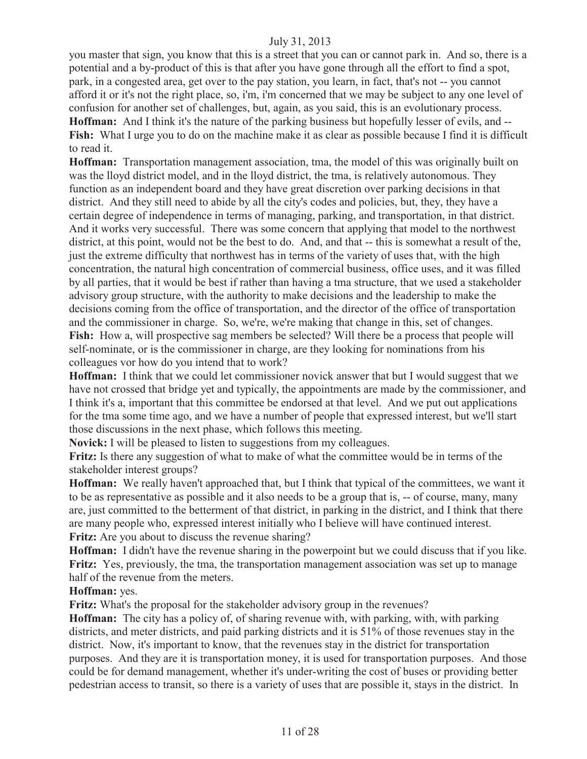you master that sign, you know that this is a street that you can or cannot park in. And so, there is a potential and a by-product of this is that after you have gone through all the effort to find a spot, park, in a congested area, get over to the pay station, you learn, in fact, that's not -- you cannot afford it or it's not the right place, so, i'm, i'm concerned that we may be subject to any one level of confusion for another set of challenges, but, again, as you said, this is an evolutionary process. **Hoffman:** And I think it's the nature of the parking business but hopefully lesser of evils, and -- **Fish:** What I urge you to do on the machine make it as clear as possible because I find it is difficult to read it.

**Hoffman:** Transportation management association, tma, the model of this was originally built on was the lloyd district model, and in the lloyd district, the tma, is relatively autonomous. They function as an independent board and they have great discretion over parking decisions in that district. And they still need to abide by all the city's codes and policies, but, they, they have a certain degree of independence in terms of managing, parking, and transportation, in that district. And it works very successful. There was some concern that applying that model to the northwest district, at this point, would not be the best to do. And, and that -- this is somewhat a result of the, just the extreme difficulty that northwest has in terms of the variety of uses that, with the high concentration, the natural high concentration of commercial business, office uses, and it was filled by all parties, that it would be best if rather than having a tma structure, that we used a stakeholder advisory group structure, with the authority to make decisions and the leadership to make the decisions coming from the office of transportation, and the director of the office of transportation and the commissioner in charge. So, we're, we're making that change in this, set of changes. **Fish:** How a, will prospective sag members be selected? Will there be a process that people will self-nominate, or is the commissioner in charge, are they looking for nominations from his colleagues vor how do you intend that to work?

**Hoffman:** I think that we could let commissioner novick answer that but I would suggest that we have not crossed that bridge yet and typically, the appointments are made by the commissioner, and I think it's a, important that this committee be endorsed at that level. And we put out applications for the tma some time ago, and we have a number of people that expressed interest, but we'll start those discussions in the next phase, which follows this meeting.

**Novick:** I will be pleased to listen to suggestions from my colleagues.

**Fritz:** Is there any suggestion of what to make of what the committee would be in terms of the stakeholder interest groups?

**Hoffman:** We really haven't approached that, but I think that typical of the committees, we want it to be as representative as possible and it also needs to be a group that is, -- of course, many, many are, just committed to the betterment of that district, in parking in the district, and I think that there are many people who, expressed interest initially who I believe will have continued interest. **Fritz:** Are you about to discuss the revenue sharing?

**Hoffman:** I didn't have the revenue sharing in the powerpoint but we could discuss that if you like. **Fritz:** Yes, previously, the tma, the transportation management association was set up to manage half of the revenue from the meters.

#### **Hoffman:** yes.

**Fritz:** What's the proposal for the stakeholder advisory group in the revenues?

**Hoffman:** The city has a policy of, of sharing revenue with, with parking, with, with parking districts, and meter districts, and paid parking districts and it is 51% of those revenues stay in the district. Now, it's important to know, that the revenues stay in the district for transportation purposes. And they are it is transportation money, it is used for transportation purposes. And those could be for demand management, whether it's under-writing the cost of buses or providing better pedestrian access to transit, so there is a variety of uses that are possible it, stays in the district. In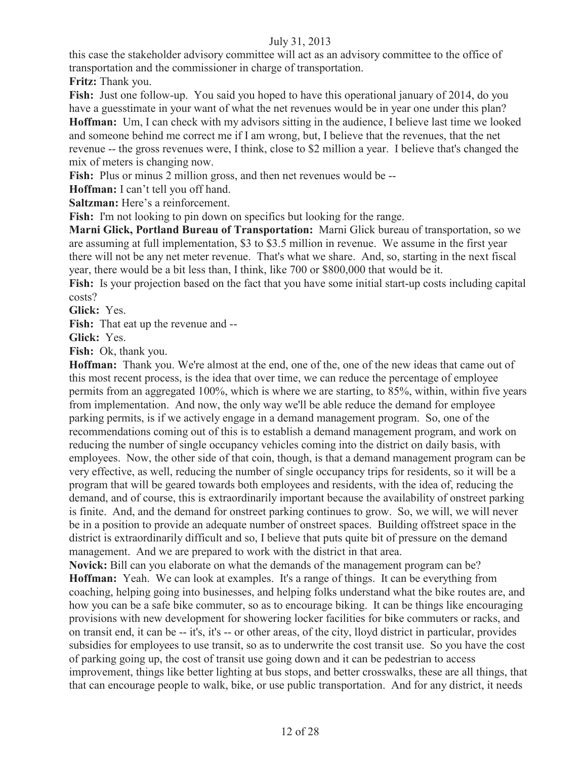this case the stakeholder advisory committee will act as an advisory committee to the office of transportation and the commissioner in charge of transportation.

**Fritz:** Thank you.

**Fish:** Just one follow-up. You said you hoped to have this operational january of 2014, do you have a guesstimate in your want of what the net revenues would be in year one under this plan? **Hoffman:** Um, I can check with my advisors sitting in the audience, I believe last time we looked and someone behind me correct me if I am wrong, but, I believe that the revenues, that the net revenue -- the gross revenues were, I think, close to \$2 million a year. I believe that's changed the mix of meters is changing now.

**Fish:** Plus or minus 2 million gross, and then net revenues would be --

**Hoffman:** I can't tell you off hand.

**Saltzman:** Here's a reinforcement.

Fish: I'm not looking to pin down on specifics but looking for the range.

**Marni Glick, Portland Bureau of Transportation:** Marni Glick bureau of transportation, so we are assuming at full implementation, \$3 to \$3.5 million in revenue. We assume in the first year there will not be any net meter revenue. That's what we share. And, so, starting in the next fiscal year, there would be a bit less than, I think, like 700 or \$800,000 that would be it.

**Fish:** Is your projection based on the fact that you have some initial start-up costs including capital costs?

**Glick:** Yes.

**Fish:** That eat up the revenue and --

**Glick:** Yes.

**Fish:** Ok, thank you.

**Hoffman:** Thank you. We're almost at the end, one of the, one of the new ideas that came out of this most recent process, is the idea that over time, we can reduce the percentage of employee permits from an aggregated 100%, which is where we are starting, to 85%, within, within five years from implementation. And now, the only way we'll be able reduce the demand for employee parking permits, is if we actively engage in a demand management program. So, one of the recommendations coming out of this is to establish a demand management program, and work on reducing the number of single occupancy vehicles coming into the district on daily basis, with employees. Now, the other side of that coin, though, is that a demand management program can be very effective, as well, reducing the number of single occupancy trips for residents, so it will be a program that will be geared towards both employees and residents, with the idea of, reducing the demand, and of course, this is extraordinarily important because the availability of onstreet parking is finite. And, and the demand for onstreet parking continues to grow. So, we will, we will never be in a position to provide an adequate number of onstreet spaces. Building offstreet space in the district is extraordinarily difficult and so, I believe that puts quite bit of pressure on the demand management. And we are prepared to work with the district in that area.

**Novick:** Bill can you elaborate on what the demands of the management program can be? **Hoffman:** Yeah. We can look at examples. It's a range of things. It can be everything from coaching, helping going into businesses, and helping folks understand what the bike routes are, and how you can be a safe bike commuter, so as to encourage biking. It can be things like encouraging provisions with new development for showering locker facilities for bike commuters or racks, and on transit end, it can be -- it's, it's -- or other areas, of the city, lloyd district in particular, provides subsidies for employees to use transit, so as to underwrite the cost transit use. So you have the cost of parking going up, the cost of transit use going down and it can be pedestrian to access improvement, things like better lighting at bus stops, and better crosswalks, these are all things, that that can encourage people to walk, bike, or use public transportation. And for any district, it needs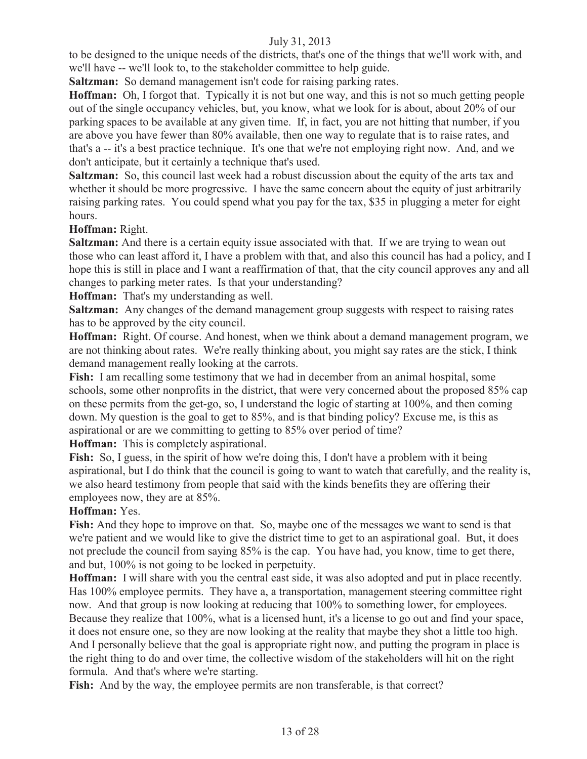to be designed to the unique needs of the districts, that's one of the things that we'll work with, and we'll have -- we'll look to, to the stakeholder committee to help guide.

**Saltzman:** So demand management isn't code for raising parking rates.

**Hoffman:** Oh, I forgot that. Typically it is not but one way, and this is not so much getting people out of the single occupancy vehicles, but, you know, what we look for is about, about 20% of our parking spaces to be available at any given time. If, in fact, you are not hitting that number, if you are above you have fewer than 80% available, then one way to regulate that is to raise rates, and that's a -- it's a best practice technique. It's one that we're not employing right now. And, and we don't anticipate, but it certainly a technique that's used.

**Saltzman:** So, this council last week had a robust discussion about the equity of the arts tax and whether it should be more progressive. I have the same concern about the equity of just arbitrarily raising parking rates. You could spend what you pay for the tax, \$35 in plugging a meter for eight hours.

**Hoffman:** Right.

**Saltzman:** And there is a certain equity issue associated with that. If we are trying to wean out those who can least afford it, I have a problem with that, and also this council has had a policy, and I hope this is still in place and I want a reaffirmation of that, that the city council approves any and all changes to parking meter rates. Is that your understanding?

**Hoffman:** That's my understanding as well.

**Saltzman:** Any changes of the demand management group suggests with respect to raising rates has to be approved by the city council.

**Hoffman:** Right. Of course. And honest, when we think about a demand management program, we are not thinking about rates. We're really thinking about, you might say rates are the stick, I think demand management really looking at the carrots.

**Fish:** I am recalling some testimony that we had in december from an animal hospital, some schools, some other nonprofits in the district, that were very concerned about the proposed 85% cap on these permits from the get-go, so, I understand the logic of starting at 100%, and then coming down. My question is the goal to get to 85%, and is that binding policy? Excuse me, is this as aspirational or are we committing to getting to 85% over period of time?

**Hoffman:** This is completely aspirational.

**Fish:** So, I guess, in the spirit of how we're doing this, I don't have a problem with it being aspirational, but I do think that the council is going to want to watch that carefully, and the reality is, we also heard testimony from people that said with the kinds benefits they are offering their employees now, they are at 85%.

# **Hoffman:** Yes.

**Fish:** And they hope to improve on that. So, maybe one of the messages we want to send is that we're patient and we would like to give the district time to get to an aspirational goal. But, it does not preclude the council from saying 85% is the cap. You have had, you know, time to get there, and but, 100% is not going to be locked in perpetuity.

**Hoffman:** I will share with you the central east side, it was also adopted and put in place recently. Has 100% employee permits. They have a, a transportation, management steering committee right now. And that group is now looking at reducing that 100% to something lower, for employees. Because they realize that 100%, what is a licensed hunt, it's a license to go out and find your space, it does not ensure one, so they are now looking at the reality that maybe they shot a little too high. And I personally believe that the goal is appropriate right now, and putting the program in place is the right thing to do and over time, the collective wisdom of the stakeholders will hit on the right formula. And that's where we're starting.

Fish: And by the way, the employee permits are non transferable, is that correct?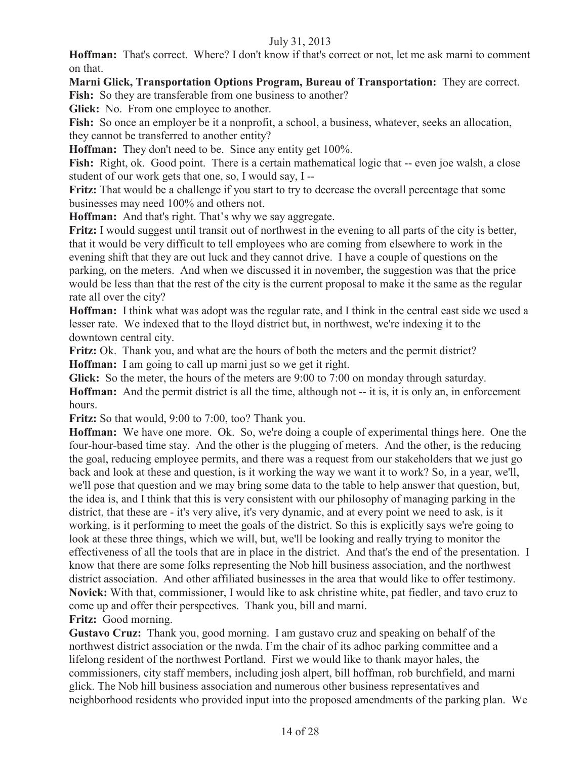**Hoffman:** That's correct. Where? I don't know if that's correct or not, let me ask marni to comment on that.

**Marni Glick, Transportation Options Program, Bureau of Transportation:** They are correct.

Fish: So they are transferable from one business to another?

**Glick:** No. From one employee to another.

Fish: So once an employer be it a nonprofit, a school, a business, whatever, seeks an allocation, they cannot be transferred to another entity?

**Hoffman:** They don't need to be. Since any entity get 100%.

Fish: Right, ok. Good point. There is a certain mathematical logic that -- even joe walsh, a close student of our work gets that one, so, I would say, I --

**Fritz:** That would be a challenge if you start to try to decrease the overall percentage that some businesses may need 100% and others not.

**Hoffman:** And that's right. That's why we say aggregate.

**Fritz:** I would suggest until transit out of northwest in the evening to all parts of the city is better, that it would be very difficult to tell employees who are coming from elsewhere to work in the evening shift that they are out luck and they cannot drive. I have a couple of questions on the parking, on the meters. And when we discussed it in november, the suggestion was that the price would be less than that the rest of the city is the current proposal to make it the same as the regular rate all over the city?

**Hoffman:** I think what was adopt was the regular rate, and I think in the central east side we used a lesser rate. We indexed that to the lloyd district but, in northwest, we're indexing it to the downtown central city.

**Fritz:** Ok. Thank you, and what are the hours of both the meters and the permit district? **Hoffman:** I am going to call up marni just so we get it right.

**Glick:** So the meter, the hours of the meters are 9:00 to 7:00 on monday through saturday. **Hoffman:** And the permit district is all the time, although not -- it is, it is only an, in enforcement hours.

**Fritz:** So that would, 9:00 to 7:00, too? Thank you.

**Hoffman:** We have one more. Ok. So, we're doing a couple of experimental things here. One the four-hour-based time stay. And the other is the plugging of meters. And the other, is the reducing the goal, reducing employee permits, and there was a request from our stakeholders that we just go back and look at these and question, is it working the way we want it to work? So, in a year, we'll, we'll pose that question and we may bring some data to the table to help answer that question, but, the idea is, and I think that this is very consistent with our philosophy of managing parking in the district, that these are - it's very alive, it's very dynamic, and at every point we need to ask, is it working, is it performing to meet the goals of the district. So this is explicitly says we're going to look at these three things, which we will, but, we'll be looking and really trying to monitor the effectiveness of all the tools that are in place in the district. And that's the end of the presentation. I know that there are some folks representing the Nob hill business association, and the northwest district association. And other affiliated businesses in the area that would like to offer testimony. **Novick:** With that, commissioner, I would like to ask christine white, pat fiedler, and tavo cruz to come up and offer their perspectives. Thank you, bill and marni.

**Fritz:** Good morning.

**Gustavo Cruz:** Thank you, good morning. I am gustavo cruz and speaking on behalf of the northwest district association or the nwda. I'm the chair of its adhoc parking committee and a lifelong resident of the northwest Portland. First we would like to thank mayor hales, the commissioners, city staff members, including josh alpert, bill hoffman, rob burchfield, and marni glick. The Nob hill business association and numerous other business representatives and neighborhood residents who provided input into the proposed amendments of the parking plan. We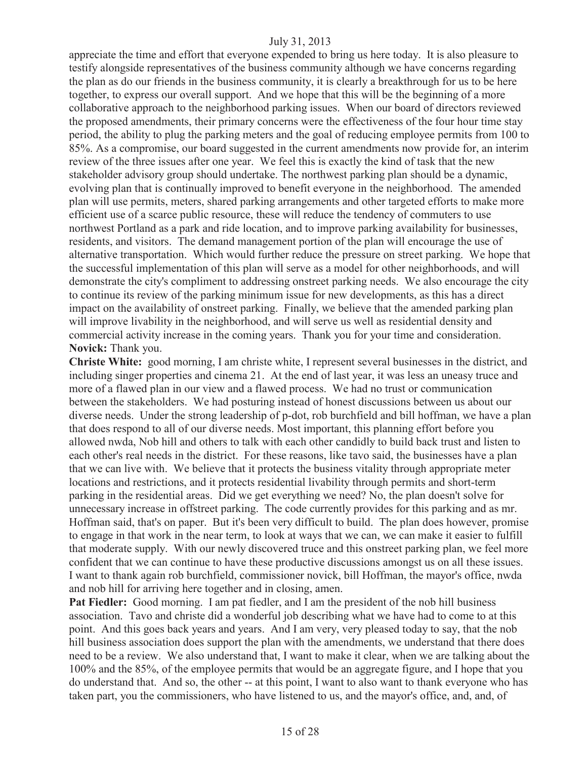appreciate the time and effort that everyone expended to bring us here today. It is also pleasure to testify alongside representatives of the business community although we have concerns regarding the plan as do our friends in the business community, it is clearly a breakthrough for us to be here together, to express our overall support. And we hope that this will be the beginning of a more collaborative approach to the neighborhood parking issues. When our board of directors reviewed the proposed amendments, their primary concerns were the effectiveness of the four hour time stay period, the ability to plug the parking meters and the goal of reducing employee permits from 100 to 85%. As a compromise, our board suggested in the current amendments now provide for, an interim review of the three issues after one year. We feel this is exactly the kind of task that the new stakeholder advisory group should undertake. The northwest parking plan should be a dynamic, evolving plan that is continually improved to benefit everyone in the neighborhood. The amended plan will use permits, meters, shared parking arrangements and other targeted efforts to make more efficient use of a scarce public resource, these will reduce the tendency of commuters to use northwest Portland as a park and ride location, and to improve parking availability for businesses, residents, and visitors. The demand management portion of the plan will encourage the use of alternative transportation. Which would further reduce the pressure on street parking. We hope that the successful implementation of this plan will serve as a model for other neighborhoods, and will demonstrate the city's compliment to addressing onstreet parking needs. We also encourage the city to continue its review of the parking minimum issue for new developments, as this has a direct impact on the availability of onstreet parking. Finally, we believe that the amended parking plan will improve livability in the neighborhood, and will serve us well as residential density and commercial activity increase in the coming years. Thank you for your time and consideration. **Novick:** Thank you.

**Christe White:** good morning, I am christe white, I represent several businesses in the district, and including singer properties and cinema 21. At the end of last year, it was less an uneasy truce and more of a flawed plan in our view and a flawed process. We had no trust or communication between the stakeholders. We had posturing instead of honest discussions between us about our diverse needs. Under the strong leadership of p-dot, rob burchfield and bill hoffman, we have a plan that does respond to all of our diverse needs. Most important, this planning effort before you allowed nwda, Nob hill and others to talk with each other candidly to build back trust and listen to each other's real needs in the district. For these reasons, like tavo said, the businesses have a plan that we can live with. We believe that it protects the business vitality through appropriate meter locations and restrictions, and it protects residential livability through permits and short-term parking in the residential areas. Did we get everything we need? No, the plan doesn't solve for unnecessary increase in offstreet parking. The code currently provides for this parking and as mr. Hoffman said, that's on paper. But it's been very difficult to build. The plan does however, promise to engage in that work in the near term, to look at ways that we can, we can make it easier to fulfill that moderate supply. With our newly discovered truce and this onstreet parking plan, we feel more confident that we can continue to have these productive discussions amongst us on all these issues. I want to thank again rob burchfield, commissioner novick, bill Hoffman, the mayor's office, nwda and nob hill for arriving here together and in closing, amen.

**Pat Fiedler:** Good morning. I am pat fiedler, and I am the president of the nob hill business association. Tavo and christe did a wonderful job describing what we have had to come to at this point. And this goes back years and years. And I am very, very pleased today to say, that the nob hill business association does support the plan with the amendments, we understand that there does need to be a review. We also understand that, I want to make it clear, when we are talking about the 100% and the 85%, of the employee permits that would be an aggregate figure, and I hope that you do understand that. And so, the other -- at this point, I want to also want to thank everyone who has taken part, you the commissioners, who have listened to us, and the mayor's office, and, and, of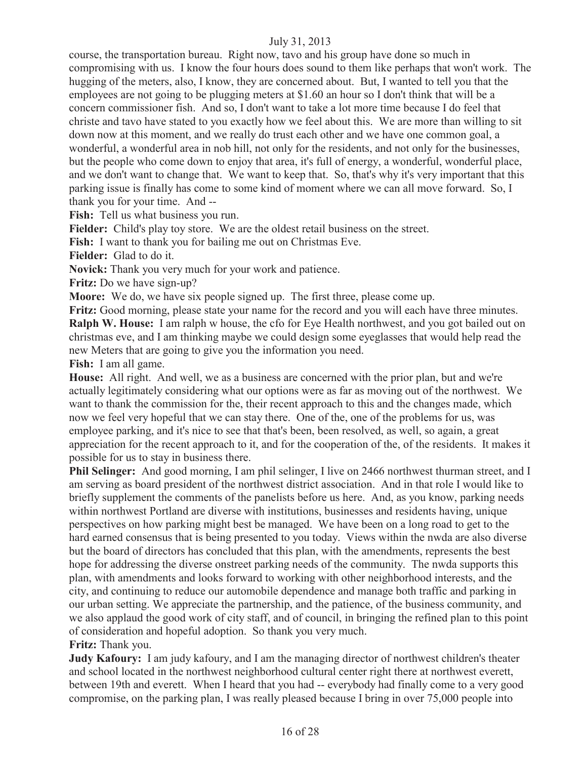course, the transportation bureau. Right now, tavo and his group have done so much in compromising with us. I know the four hours does sound to them like perhaps that won't work. The hugging of the meters, also, I know, they are concerned about. But, I wanted to tell you that the employees are not going to be plugging meters at \$1.60 an hour so I don't think that will be a concern commissioner fish. And so, I don't want to take a lot more time because I do feel that christe and tavo have stated to you exactly how we feel about this. We are more than willing to sit down now at this moment, and we really do trust each other and we have one common goal, a wonderful, a wonderful area in nob hill, not only for the residents, and not only for the businesses, but the people who come down to enjoy that area, it's full of energy, a wonderful, wonderful place, and we don't want to change that. We want to keep that. So, that's why it's very important that this parking issue is finally has come to some kind of moment where we can all move forward. So, I thank you for your time. And --

**Fish:** Tell us what business you run.

**Fielder:** Child's play toy store. We are the oldest retail business on the street.

**Fish:** I want to thank you for bailing me out on Christmas Eve.

**Fielder:** Glad to do it.

**Novick:** Thank you very much for your work and patience.

**Fritz:** Do we have sign-up?

**Moore:** We do, we have six people signed up. The first three, please come up.

**Fritz:** Good morning, please state your name for the record and you will each have three minutes. **Ralph W. House:** I am ralph w house, the cfo for Eye Health northwest, and you got bailed out on christmas eve, and I am thinking maybe we could design some eyeglasses that would help read the new Meters that are going to give you the information you need.

**Fish:** I am all game.

**House:** All right. And well, we as a business are concerned with the prior plan, but and we're actually legitimately considering what our options were as far as moving out of the northwest. We want to thank the commission for the, their recent approach to this and the changes made, which now we feel very hopeful that we can stay there. One of the, one of the problems for us, was employee parking, and it's nice to see that that's been, been resolved, as well, so again, a great appreciation for the recent approach to it, and for the cooperation of the, of the residents. It makes it possible for us to stay in business there.

**Phil Selinger:** And good morning, I am phil selinger, I live on 2466 northwest thurman street, and I am serving as board president of the northwest district association. And in that role I would like to briefly supplement the comments of the panelists before us here. And, as you know, parking needs within northwest Portland are diverse with institutions, businesses and residents having, unique perspectives on how parking might best be managed. We have been on a long road to get to the hard earned consensus that is being presented to you today. Views within the nwda are also diverse but the board of directors has concluded that this plan, with the amendments, represents the best hope for addressing the diverse onstreet parking needs of the community. The nwda supports this plan, with amendments and looks forward to working with other neighborhood interests, and the city, and continuing to reduce our automobile dependence and manage both traffic and parking in our urban setting. We appreciate the partnership, and the patience, of the business community, and we also applaud the good work of city staff, and of council, in bringing the refined plan to this point of consideration and hopeful adoption. So thank you very much.

**Fritz:** Thank you.

**Judy Kafoury:** I am judy kafoury, and I am the managing director of northwest children's theater and school located in the northwest neighborhood cultural center right there at northwest everett, between 19th and everett. When I heard that you had -- everybody had finally come to a very good compromise, on the parking plan, I was really pleased because I bring in over 75,000 people into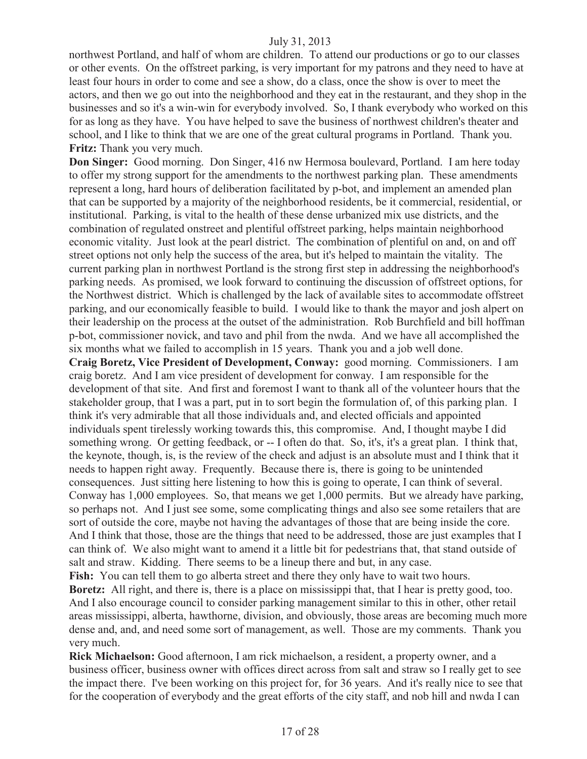northwest Portland, and half of whom are children. To attend our productions or go to our classes or other events. On the offstreet parking, is very important for my patrons and they need to have at least four hours in order to come and see a show, do a class, once the show is over to meet the actors, and then we go out into the neighborhood and they eat in the restaurant, and they shop in the businesses and so it's a win-win for everybody involved. So, I thank everybody who worked on this for as long as they have. You have helped to save the business of northwest children's theater and school, and I like to think that we are one of the great cultural programs in Portland. Thank you. **Fritz:** Thank you very much.

**Don Singer:** Good morning. Don Singer, 416 nw Hermosa boulevard, Portland. I am here today to offer my strong support for the amendments to the northwest parking plan. These amendments represent a long, hard hours of deliberation facilitated by p-bot, and implement an amended plan that can be supported by a majority of the neighborhood residents, be it commercial, residential, or institutional. Parking, is vital to the health of these dense urbanized mix use districts, and the combination of regulated onstreet and plentiful offstreet parking, helps maintain neighborhood economic vitality. Just look at the pearl district. The combination of plentiful on and, on and off street options not only help the success of the area, but it's helped to maintain the vitality. The current parking plan in northwest Portland is the strong first step in addressing the neighborhood's parking needs. As promised, we look forward to continuing the discussion of offstreet options, for the Northwest district. Which is challenged by the lack of available sites to accommodate offstreet parking, and our economically feasible to build. I would like to thank the mayor and josh alpert on their leadership on the process at the outset of the administration. Rob Burchfield and bill hoffman p-bot, commissioner novick, and tavo and phil from the nwda. And we have all accomplished the six months what we failed to accomplish in 15 years. Thank you and a job well done.

**Craig Boretz, Vice President of Development, Conway:** good morning. Commissioners. I am craig boretz. And I am vice president of development for conway. I am responsible for the development of that site. And first and foremost I want to thank all of the volunteer hours that the stakeholder group, that I was a part, put in to sort begin the formulation of, of this parking plan. I think it's very admirable that all those individuals and, and elected officials and appointed individuals spent tirelessly working towards this, this compromise. And, I thought maybe I did something wrong. Or getting feedback, or -- I often do that. So, it's, it's a great plan. I think that, the keynote, though, is, is the review of the check and adjust is an absolute must and I think that it needs to happen right away. Frequently. Because there is, there is going to be unintended consequences. Just sitting here listening to how this is going to operate, I can think of several. Conway has 1,000 employees. So, that means we get 1,000 permits. But we already have parking, so perhaps not. And I just see some, some complicating things and also see some retailers that are sort of outside the core, maybe not having the advantages of those that are being inside the core. And I think that those, those are the things that need to be addressed, those are just examples that I can think of. We also might want to amend it a little bit for pedestrians that, that stand outside of salt and straw. Kidding. There seems to be a lineup there and but, in any case.

**Fish:** You can tell them to go alberta street and there they only have to wait two hours. **Boretz:** All right, and there is, there is a place on mississippi that, that I hear is pretty good, too. And I also encourage council to consider parking management similar to this in other, other retail areas mississippi, alberta, hawthorne, division, and obviously, those areas are becoming much more dense and, and, and need some sort of management, as well. Those are my comments. Thank you very much.

**Rick Michaelson:** Good afternoon, I am rick michaelson, a resident, a property owner, and a business officer, business owner with offices direct across from salt and straw so I really get to see the impact there. I've been working on this project for, for 36 years. And it's really nice to see that for the cooperation of everybody and the great efforts of the city staff, and nob hill and nwda I can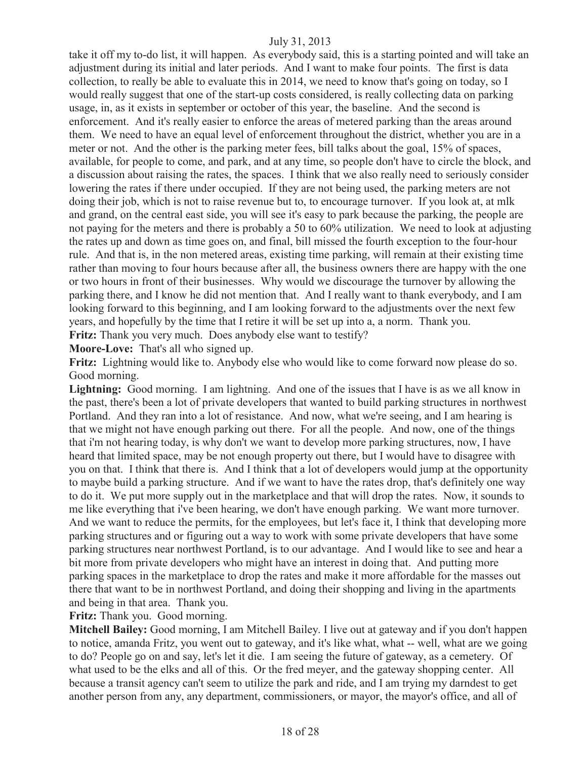take it off my to-do list, it will happen. As everybody said, this is a starting pointed and will take an adjustment during its initial and later periods. And I want to make four points. The first is data collection, to really be able to evaluate this in 2014, we need to know that's going on today, so I would really suggest that one of the start-up costs considered, is really collecting data on parking usage, in, as it exists in september or october of this year, the baseline. And the second is enforcement. And it's really easier to enforce the areas of metered parking than the areas around them. We need to have an equal level of enforcement throughout the district, whether you are in a meter or not. And the other is the parking meter fees, bill talks about the goal, 15% of spaces, available, for people to come, and park, and at any time, so people don't have to circle the block, and a discussion about raising the rates, the spaces. I think that we also really need to seriously consider lowering the rates if there under occupied. If they are not being used, the parking meters are not doing their job, which is not to raise revenue but to, to encourage turnover. If you look at, at mlk and grand, on the central east side, you will see it's easy to park because the parking, the people are not paying for the meters and there is probably a 50 to 60% utilization. We need to look at adjusting the rates up and down as time goes on, and final, bill missed the fourth exception to the four-hour rule. And that is, in the non metered areas, existing time parking, will remain at their existing time rather than moving to four hours because after all, the business owners there are happy with the one or two hours in front of their businesses. Why would we discourage the turnover by allowing the parking there, and I know he did not mention that. And I really want to thank everybody, and I am looking forward to this beginning, and I am looking forward to the adjustments over the next few years, and hopefully by the time that I retire it will be set up into a, a norm. Thank you. **Fritz:** Thank you very much. Does anybody else want to testify?

**Moore-Love:** That's all who signed up.

**Fritz:** Lightning would like to. Anybody else who would like to come forward now please do so. Good morning.

**Lightning:** Good morning. I am lightning. And one of the issues that I have is as we all know in the past, there's been a lot of private developers that wanted to build parking structures in northwest Portland. And they ran into a lot of resistance. And now, what we're seeing, and I am hearing is that we might not have enough parking out there. For all the people. And now, one of the things that i'm not hearing today, is why don't we want to develop more parking structures, now, I have heard that limited space, may be not enough property out there, but I would have to disagree with you on that. I think that there is. And I think that a lot of developers would jump at the opportunity to maybe build a parking structure. And if we want to have the rates drop, that's definitely one way to do it. We put more supply out in the marketplace and that will drop the rates. Now, it sounds to me like everything that i've been hearing, we don't have enough parking. We want more turnover. And we want to reduce the permits, for the employees, but let's face it, I think that developing more parking structures and or figuring out a way to work with some private developers that have some parking structures near northwest Portland, is to our advantage. And I would like to see and hear a bit more from private developers who might have an interest in doing that. And putting more parking spaces in the marketplace to drop the rates and make it more affordable for the masses out there that want to be in northwest Portland, and doing their shopping and living in the apartments and being in that area. Thank you.

**Fritz:** Thank you. Good morning.

**Mitchell Bailey:** Good morning, I am Mitchell Bailey. I live out at gateway and if you don't happen to notice, amanda Fritz, you went out to gateway, and it's like what, what -- well, what are we going to do? People go on and say, let's let it die. I am seeing the future of gateway, as a cemetery. Of what used to be the elks and all of this. Or the fred meyer, and the gateway shopping center. All because a transit agency can't seem to utilize the park and ride, and I am trying my darndest to get another person from any, any department, commissioners, or mayor, the mayor's office, and all of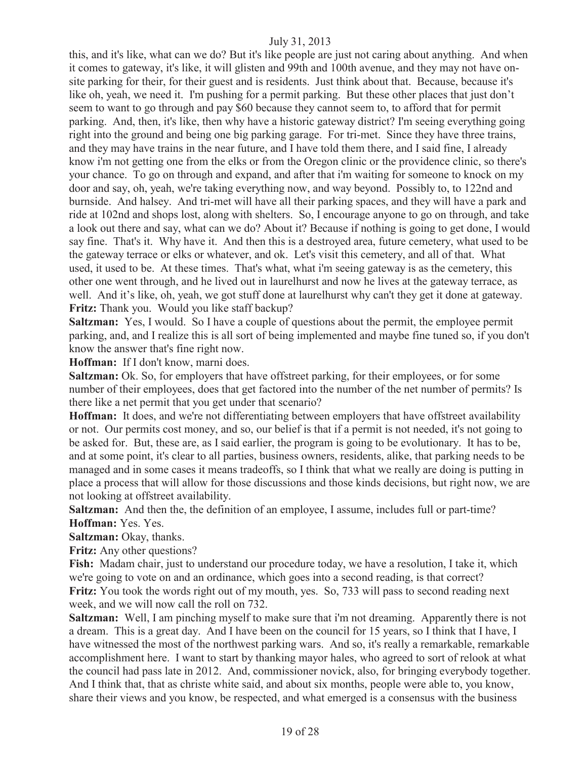this, and it's like, what can we do? But it's like people are just not caring about anything. And when it comes to gateway, it's like, it will glisten and 99th and 100th avenue, and they may not have onsite parking for their, for their guest and is residents. Just think about that. Because, because it's like oh, yeah, we need it. I'm pushing for a permit parking. But these other places that just don't seem to want to go through and pay \$60 because they cannot seem to, to afford that for permit parking. And, then, it's like, then why have a historic gateway district? I'm seeing everything going right into the ground and being one big parking garage. For tri-met. Since they have three trains, and they may have trains in the near future, and I have told them there, and I said fine, I already know i'm not getting one from the elks or from the Oregon clinic or the providence clinic, so there's your chance. To go on through and expand, and after that i'm waiting for someone to knock on my door and say, oh, yeah, we're taking everything now, and way beyond. Possibly to, to 122nd and burnside. And halsey. And tri-met will have all their parking spaces, and they will have a park and ride at 102nd and shops lost, along with shelters. So, I encourage anyone to go on through, and take a look out there and say, what can we do? About it? Because if nothing is going to get done, I would say fine. That's it. Why have it. And then this is a destroyed area, future cemetery, what used to be the gateway terrace or elks or whatever, and ok. Let's visit this cemetery, and all of that. What used, it used to be. At these times. That's what, what i'm seeing gateway is as the cemetery, this other one went through, and he lived out in laurelhurst and now he lives at the gateway terrace, as well. And it's like, oh, yeah, we got stuff done at laurelhurst why can't they get it done at gateway. **Fritz:** Thank you. Would you like staff backup?

**Saltzman:** Yes, I would. So I have a couple of questions about the permit, the employee permit parking, and, and I realize this is all sort of being implemented and maybe fine tuned so, if you don't know the answer that's fine right now.

**Hoffman:** If I don't know, marni does.

**Saltzman:** Ok. So, for employers that have offstreet parking, for their employees, or for some number of their employees, does that get factored into the number of the net number of permits? Is there like a net permit that you get under that scenario?

**Hoffman:** It does, and we're not differentiating between employers that have offstreet availability or not. Our permits cost money, and so, our belief is that if a permit is not needed, it's not going to be asked for. But, these are, as I said earlier, the program is going to be evolutionary. It has to be, and at some point, it's clear to all parties, business owners, residents, alike, that parking needs to be managed and in some cases it means tradeoffs, so I think that what we really are doing is putting in place a process that will allow for those discussions and those kinds decisions, but right now, we are not looking at offstreet availability.

**Saltzman:** And then the, the definition of an employee, I assume, includes full or part-time? **Hoffman:** Yes. Yes.

**Saltzman:** Okay, thanks.

**Fritz:** Any other questions?

**Fish:** Madam chair, just to understand our procedure today, we have a resolution, I take it, which we're going to vote on and an ordinance, which goes into a second reading, is that correct? **Fritz:** You took the words right out of my mouth, yes. So, 733 will pass to second reading next week, and we will now call the roll on 732.

**Saltzman:** Well, I am pinching myself to make sure that i'm not dreaming. Apparently there is not a dream. This is a great day. And I have been on the council for 15 years, so I think that I have, I have witnessed the most of the northwest parking wars. And so, it's really a remarkable, remarkable accomplishment here. I want to start by thanking mayor hales, who agreed to sort of relook at what the council had pass late in 2012. And, commissioner novick, also, for bringing everybody together. And I think that, that as christe white said, and about six months, people were able to, you know, share their views and you know, be respected, and what emerged is a consensus with the business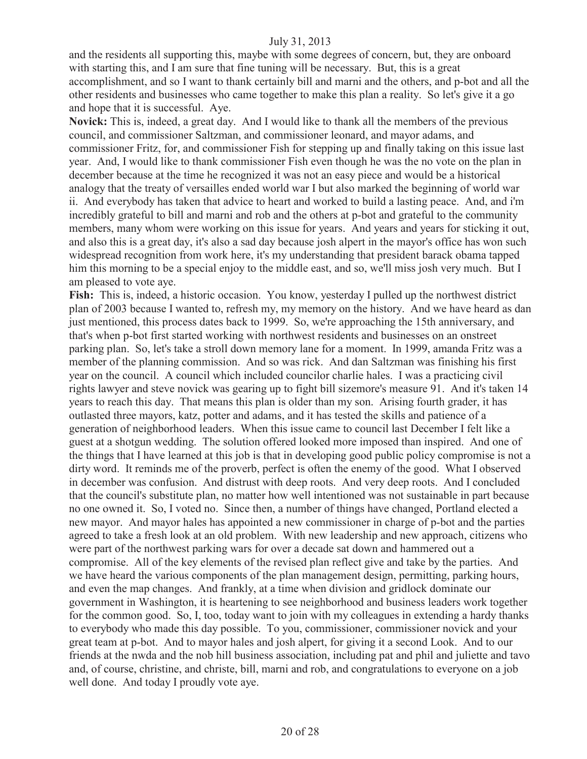and the residents all supporting this, maybe with some degrees of concern, but, they are onboard with starting this, and I am sure that fine tuning will be necessary. But, this is a great accomplishment, and so I want to thank certainly bill and marni and the others, and p-bot and all the other residents and businesses who came together to make this plan a reality. So let's give it a go and hope that it is successful. Aye.

**Novick:** This is, indeed, a great day. And I would like to thank all the members of the previous council, and commissioner Saltzman, and commissioner leonard, and mayor adams, and commissioner Fritz, for, and commissioner Fish for stepping up and finally taking on this issue last year. And, I would like to thank commissioner Fish even though he was the no vote on the plan in december because at the time he recognized it was not an easy piece and would be a historical analogy that the treaty of versailles ended world war I but also marked the beginning of world war ii. And everybody has taken that advice to heart and worked to build a lasting peace. And, and i'm incredibly grateful to bill and marni and rob and the others at p-bot and grateful to the community members, many whom were working on this issue for years. And years and years for sticking it out, and also this is a great day, it's also a sad day because josh alpert in the mayor's office has won such widespread recognition from work here, it's my understanding that president barack obama tapped him this morning to be a special enjoy to the middle east, and so, we'll miss josh very much. But I am pleased to vote aye.

**Fish:** This is, indeed, a historic occasion. You know, yesterday I pulled up the northwest district plan of 2003 because I wanted to, refresh my, my memory on the history. And we have heard as dan just mentioned, this process dates back to 1999. So, we're approaching the 15th anniversary, and that's when p-bot first started working with northwest residents and businesses on an onstreet parking plan. So, let's take a stroll down memory lane for a moment. In 1999, amanda Fritz was a member of the planning commission. And so was rick. And dan Saltzman was finishing his first year on the council. A council which included councilor charlie hales. I was a practicing civil rights lawyer and steve novick was gearing up to fight bill sizemore's measure 91. And it's taken 14 years to reach this day. That means this plan is older than my son. Arising fourth grader, it has outlasted three mayors, katz, potter and adams, and it has tested the skills and patience of a generation of neighborhood leaders. When this issue came to council last December I felt like a guest at a shotgun wedding. The solution offered looked more imposed than inspired. And one of the things that I have learned at this job is that in developing good public policy compromise is not a dirty word. It reminds me of the proverb, perfect is often the enemy of the good. What I observed in december was confusion. And distrust with deep roots. And very deep roots. And I concluded that the council's substitute plan, no matter how well intentioned was not sustainable in part because no one owned it. So, I voted no. Since then, a number of things have changed, Portland elected a new mayor. And mayor hales has appointed a new commissioner in charge of p-bot and the parties agreed to take a fresh look at an old problem. With new leadership and new approach, citizens who were part of the northwest parking wars for over a decade sat down and hammered out a compromise. All of the key elements of the revised plan reflect give and take by the parties. And we have heard the various components of the plan management design, permitting, parking hours, and even the map changes. And frankly, at a time when division and gridlock dominate our government in Washington, it is heartening to see neighborhood and business leaders work together for the common good. So, I, too, today want to join with my colleagues in extending a hardy thanks to everybody who made this day possible. To you, commissioner, commissioner novick and your great team at p-bot. And to mayor hales and josh alpert, for giving it a second Look. And to our friends at the nwda and the nob hill business association, including pat and phil and juliette and tavo and, of course, christine, and christe, bill, marni and rob, and congratulations to everyone on a job well done. And today I proudly vote aye.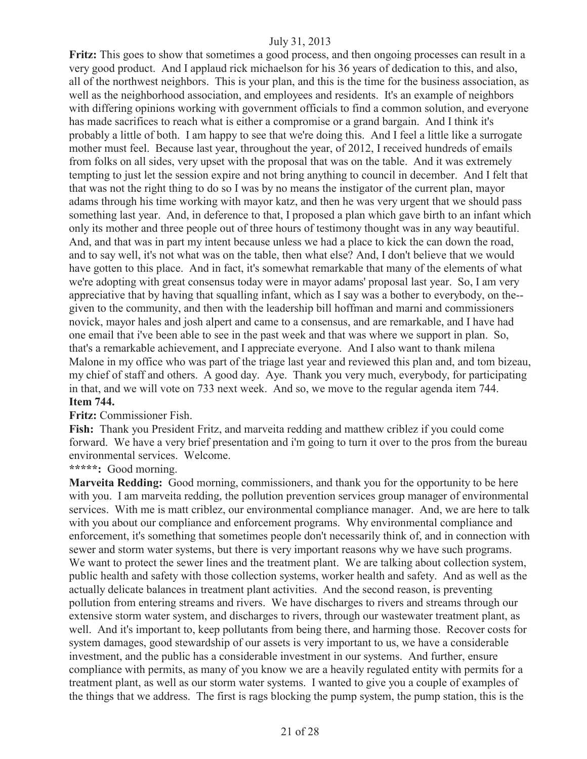Fritz: This goes to show that sometimes a good process, and then ongoing processes can result in a very good product. And I applaud rick michaelson for his 36 years of dedication to this, and also, all of the northwest neighbors. This is your plan, and this is the time for the business association, as well as the neighborhood association, and employees and residents. It's an example of neighbors with differing opinions working with government officials to find a common solution, and everyone has made sacrifices to reach what is either a compromise or a grand bargain. And I think it's probably a little of both. I am happy to see that we're doing this. And I feel a little like a surrogate mother must feel. Because last year, throughout the year, of 2012, I received hundreds of emails from folks on all sides, very upset with the proposal that was on the table. And it was extremely tempting to just let the session expire and not bring anything to council in december. And I felt that that was not the right thing to do so I was by no means the instigator of the current plan, mayor adams through his time working with mayor katz, and then he was very urgent that we should pass something last year. And, in deference to that, I proposed a plan which gave birth to an infant which only its mother and three people out of three hours of testimony thought was in any way beautiful. And, and that was in part my intent because unless we had a place to kick the can down the road, and to say well, it's not what was on the table, then what else? And, I don't believe that we would have gotten to this place. And in fact, it's somewhat remarkable that many of the elements of what we're adopting with great consensus today were in mayor adams' proposal last year. So, I am very appreciative that by having that squalling infant, which as I say was a bother to everybody, on the- given to the community, and then with the leadership bill hoffman and marni and commissioners novick, mayor hales and josh alpert and came to a consensus, and are remarkable, and I have had one email that i've been able to see in the past week and that was where we support in plan. So, that's a remarkable achievement, and I appreciate everyone. And I also want to thank milena Malone in my office who was part of the triage last year and reviewed this plan and, and tom bizeau, my chief of staff and others. A good day. Aye. Thank you very much, everybody, for participating in that, and we will vote on 733 next week. And so, we move to the regular agenda item 744. **Item 744.**

#### **Fritz:** Commissioner Fish.

**Fish:** Thank you President Fritz, and marveita redding and matthew criblez if you could come forward. We have a very brief presentation and i'm going to turn it over to the pros from the bureau environmental services. Welcome.

#### **\*\*\*\*\*:** Good morning.

**Marveita Redding:** Good morning, commissioners, and thank you for the opportunity to be here with you. I am marveita redding, the pollution prevention services group manager of environmental services. With me is matt criblez, our environmental compliance manager. And, we are here to talk with you about our compliance and enforcement programs. Why environmental compliance and enforcement, it's something that sometimes people don't necessarily think of, and in connection with sewer and storm water systems, but there is very important reasons why we have such programs. We want to protect the sewer lines and the treatment plant. We are talking about collection system, public health and safety with those collection systems, worker health and safety. And as well as the actually delicate balances in treatment plant activities. And the second reason, is preventing pollution from entering streams and rivers. We have discharges to rivers and streams through our extensive storm water system, and discharges to rivers, through our wastewater treatment plant, as well. And it's important to, keep pollutants from being there, and harming those. Recover costs for system damages, good stewardship of our assets is very important to us, we have a considerable investment, and the public has a considerable investment in our systems. And further, ensure compliance with permits, as many of you know we are a heavily regulated entity with permits for a treatment plant, as well as our storm water systems. I wanted to give you a couple of examples of the things that we address. The first is rags blocking the pump system, the pump station, this is the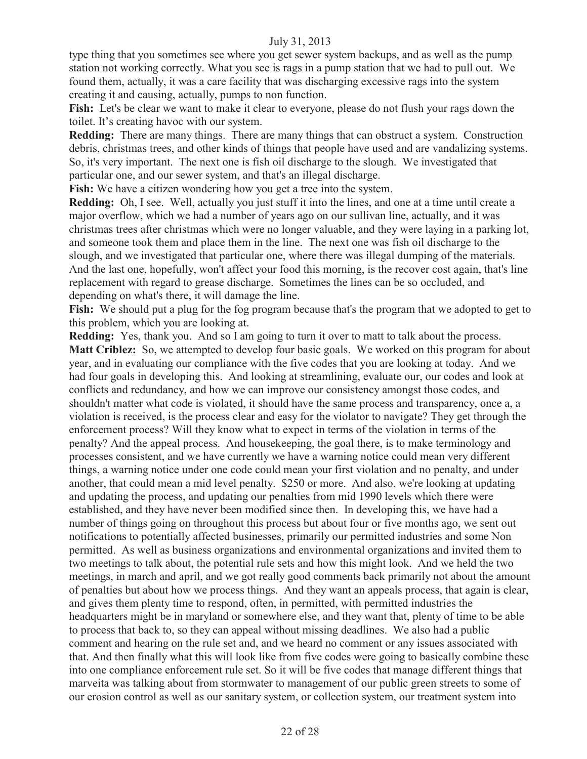type thing that you sometimes see where you get sewer system backups, and as well as the pump station not working correctly. What you see is rags in a pump station that we had to pull out. We found them, actually, it was a care facility that was discharging excessive rags into the system creating it and causing, actually, pumps to non function.

**Fish:** Let's be clear we want to make it clear to everyone, please do not flush your rags down the toilet. It's creating havoc with our system.

**Redding:** There are many things. There are many things that can obstruct a system. Construction debris, christmas trees, and other kinds of things that people have used and are vandalizing systems. So, it's very important. The next one is fish oil discharge to the slough. We investigated that particular one, and our sewer system, and that's an illegal discharge.

Fish: We have a citizen wondering how you get a tree into the system.

**Redding:** Oh, I see. Well, actually you just stuff it into the lines, and one at a time until create a major overflow, which we had a number of years ago on our sullivan line, actually, and it was christmas trees after christmas which were no longer valuable, and they were laying in a parking lot, and someone took them and place them in the line. The next one was fish oil discharge to the slough, and we investigated that particular one, where there was illegal dumping of the materials. And the last one, hopefully, won't affect your food this morning, is the recover cost again, that's line replacement with regard to grease discharge. Sometimes the lines can be so occluded, and depending on what's there, it will damage the line.

**Fish:** We should put a plug for the fog program because that's the program that we adopted to get to this problem, which you are looking at.

**Redding:** Yes, thank you. And so I am going to turn it over to matt to talk about the process. **Matt Criblez:** So, we attempted to develop four basic goals. We worked on this program for about year, and in evaluating our compliance with the five codes that you are looking at today. And we had four goals in developing this. And looking at streamlining, evaluate our, our codes and look at conflicts and redundancy, and how we can improve our consistency amongst those codes, and shouldn't matter what code is violated, it should have the same process and transparency, once a, a violation is received, is the process clear and easy for the violator to navigate? They get through the enforcement process? Will they know what to expect in terms of the violation in terms of the penalty? And the appeal process. And housekeeping, the goal there, is to make terminology and processes consistent, and we have currently we have a warning notice could mean very different things, a warning notice under one code could mean your first violation and no penalty, and under another, that could mean a mid level penalty. \$250 or more. And also, we're looking at updating and updating the process, and updating our penalties from mid 1990 levels which there were established, and they have never been modified since then. In developing this, we have had a number of things going on throughout this process but about four or five months ago, we sent out notifications to potentially affected businesses, primarily our permitted industries and some Non permitted. As well as business organizations and environmental organizations and invited them to two meetings to talk about, the potential rule sets and how this might look. And we held the two meetings, in march and april, and we got really good comments back primarily not about the amount of penalties but about how we process things. And they want an appeals process, that again is clear, and gives them plenty time to respond, often, in permitted, with permitted industries the headquarters might be in maryland or somewhere else, and they want that, plenty of time to be able to process that back to, so they can appeal without missing deadlines. We also had a public comment and hearing on the rule set and, and we heard no comment or any issues associated with that. And then finally what this will look like from five codes were going to basically combine these into one compliance enforcement rule set. So it will be five codes that manage different things that marveita was talking about from stormwater to management of our public green streets to some of our erosion control as well as our sanitary system, or collection system, our treatment system into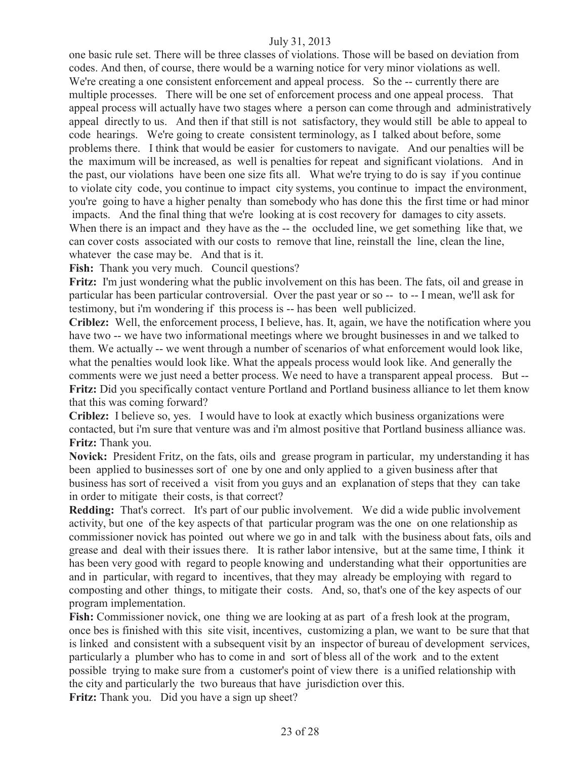one basic rule set. There will be three classes of violations. Those will be based on deviation from codes. And then, of course, there would be a warning notice for very minor violations as well. We're creating a one consistent enforcement and appeal process. So the -- currently there are multiple processes. There will be one set of enforcement process and one appeal process. That appeal process will actually have two stages where a person can come through and administratively appeal directly to us. And then if that still is not satisfactory, they would still be able to appeal to code hearings. We're going to create consistent terminology, as I talked about before, some problems there. I think that would be easier for customers to navigate. And our penalties will be the maximum will be increased, as well is penalties for repeat and significant violations. And in the past, our violations have been one size fits all. What we're trying to do is say if you continue to violate city code, you continue to impact city systems, you continue to impact the environment, you're going to have a higher penalty than somebody who has done this the first time or had minor impacts. And the final thing that we're looking at is cost recovery for damages to city assets. When there is an impact and they have as the -- the occluded line, we get something like that, we can cover costs associated with our costs to remove that line, reinstall the line, clean the line, whatever the case may be. And that is it.

Fish: Thank you very much. Council questions?

**Fritz:** I'm just wondering what the public involvement on this has been. The fats, oil and grease in particular has been particular controversial. Over the past year or so -- to -- I mean, we'll ask for testimony, but i'm wondering if this process is -- has been well publicized.

**Criblez:** Well, the enforcement process, I believe, has. It, again, we have the notification where you have two -- we have two informational meetings where we brought businesses in and we talked to them. We actually -- we went through a number of scenarios of what enforcement would look like, what the penalties would look like. What the appeals process would look like. And generally the comments were we just need a better process. We need to have a transparent appeal process. But -- **Fritz:** Did you specifically contact venture Portland and Portland business alliance to let them know that this was coming forward?

**Criblez:** I believe so, yes. I would have to look at exactly which business organizations were contacted, but i'm sure that venture was and i'm almost positive that Portland business alliance was. **Fritz:** Thank you.

**Novick:** President Fritz, on the fats, oils and grease program in particular, my understanding it has been applied to businesses sort of one by one and only applied to a given business after that business has sort of received a visit from you guys and an explanation of steps that they can take in order to mitigate their costs, is that correct?

**Redding:** That's correct. It's part of our public involvement. We did a wide public involvement activity, but one of the key aspects of that particular program was the one on one relationship as commissioner novick has pointed out where we go in and talk with the business about fats, oils and grease and deal with their issues there. It is rather labor intensive, but at the same time, I think it has been very good with regard to people knowing and understanding what their opportunities are and in particular, with regard to incentives, that they may already be employing with regard to composting and other things, to mitigate their costs. And, so, that's one of the key aspects of our program implementation.

**Fish:** Commissioner novick, one thing we are looking at as part of a fresh look at the program, once bes is finished with this site visit, incentives, customizing a plan, we want to be sure that that is linked and consistent with a subsequent visit by an inspector of bureau of development services, particularly a plumber who has to come in and sort of bless all of the work and to the extent possible trying to make sure from a customer's point of view there is a unified relationship with the city and particularly the two bureaus that have jurisdiction over this.

**Fritz:** Thank you. Did you have a sign up sheet?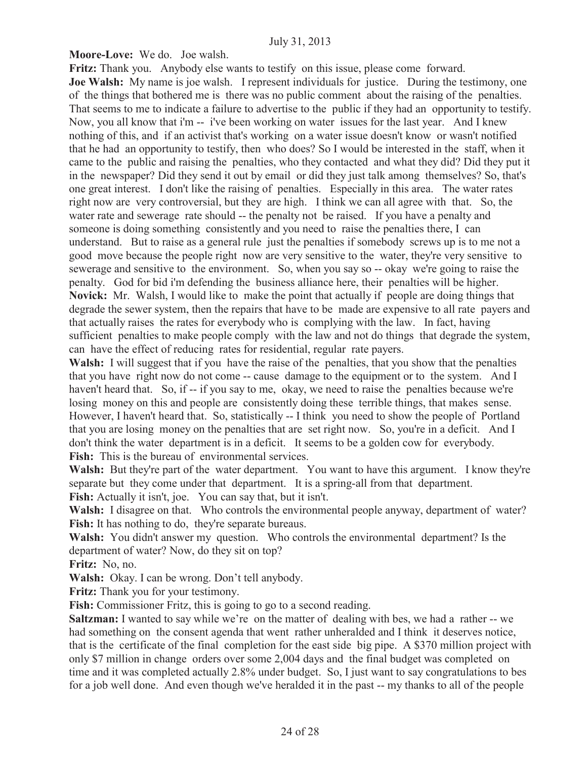**Moore-Love:** We do. Joe walsh.

**Fritz:** Thank you. Anybody else wants to testify on this issue, please come forward. **Joe Walsh:** My name is joe walsh. I represent individuals for justice. During the testimony, one of the things that bothered me is there was no public comment about the raising of the penalties. That seems to me to indicate a failure to advertise to the public if they had an opportunity to testify. Now, you all know that i'm -- i've been working on water issues for the last year. And I knew nothing of this, and if an activist that's working on a water issue doesn't know or wasn't notified that he had an opportunity to testify, then who does? So I would be interested in the staff, when it came to the public and raising the penalties, who they contacted and what they did? Did they put it in the newspaper? Did they send it out by email or did they just talk among themselves? So, that's one great interest. I don't like the raising of penalties. Especially in this area. The water rates right now are very controversial, but they are high. I think we can all agree with that. So, the water rate and sewerage rate should -- the penalty not be raised. If you have a penalty and someone is doing something consistently and you need to raise the penalties there, I can understand. But to raise as a general rule just the penalties if somebody screws up is to me not a good move because the people right now are very sensitive to the water, they're very sensitive to sewerage and sensitive to the environment. So, when you say so -- okay we're going to raise the penalty. God for bid i'm defending the business alliance here, their penalties will be higher. **Novick:** Mr. Walsh, I would like to make the point that actually if people are doing things that degrade the sewer system, then the repairs that have to be made are expensive to all rate payers and that actually raises the rates for everybody who is complying with the law. In fact, having sufficient penalties to make people comply with the law and not do things that degrade the system, can have the effect of reducing rates for residential, regular rate payers.

**Walsh:** I will suggest that if you have the raise of the penalties, that you show that the penalties that you have right now do not come -- cause damage to the equipment or to the system. And I haven't heard that. So, if -- if you say to me, okay, we need to raise the penalties because we're losing money on this and people are consistently doing these terrible things, that makes sense. However, I haven't heard that. So, statistically -- I think you need to show the people of Portland that you are losing money on the penalties that are set right now. So, you're in a deficit. And I don't think the water department is in a deficit. It seems to be a golden cow for everybody. **Fish:** This is the bureau of environmental services.

Walsh: But they're part of the water department. You want to have this argument. I know they're separate but they come under that department. It is a spring-all from that department.

**Fish:** Actually it isn't, joe. You can say that, but it isn't.

**Walsh:** I disagree on that. Who controls the environmental people anyway, department of water? Fish: It has nothing to do, they're separate bureaus.

**Walsh:** You didn't answer my question. Who controls the environmental department? Is the department of water? Now, do they sit on top?

**Fritz:** No, no.

**Walsh:** Okay. I can be wrong. Don't tell anybody.

**Fritz:** Thank you for your testimony.

Fish: Commissioner Fritz, this is going to go to a second reading.

**Saltzman:** I wanted to say while we're on the matter of dealing with bes, we had a rather -- we had something on the consent agenda that went rather unheralded and I think it deserves notice, that is the certificate of the final completion for the east side big pipe. A \$370 million project with only \$7 million in change orders over some 2,004 days and the final budget was completed on time and it was completed actually 2.8% under budget. So, I just want to say congratulations to bes for a job well done. And even though we've heralded it in the past -- my thanks to all of the people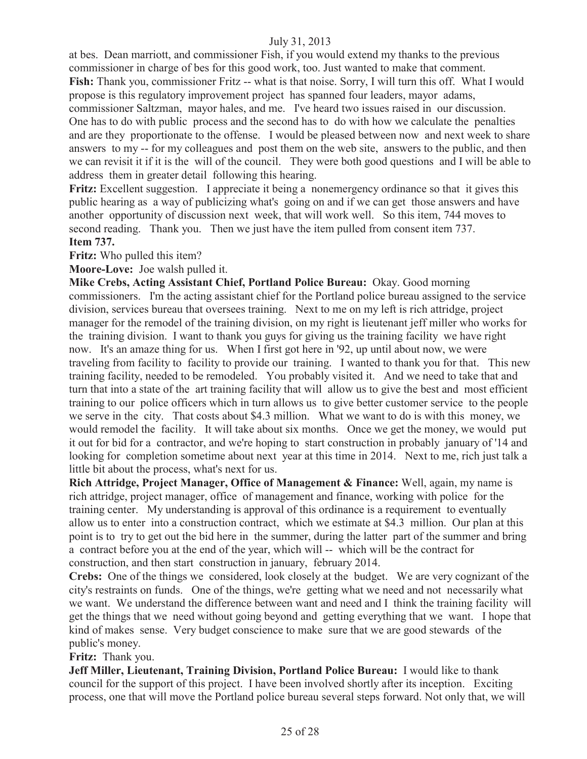at bes. Dean marriott, and commissioner Fish, if you would extend my thanks to the previous commissioner in charge of bes for this good work, too. Just wanted to make that comment. Fish: Thank you, commissioner Fritz -- what is that noise. Sorry, I will turn this off. What I would propose is this regulatory improvement project has spanned four leaders, mayor adams, commissioner Saltzman, mayor hales, and me. I've heard two issues raised in our discussion. One has to do with public process and the second has to do with how we calculate the penalties and are they proportionate to the offense. I would be pleased between now and next week to share answers to my -- for my colleagues and post them on the web site, answers to the public, and then we can revisit it if it is the will of the council. They were both good questions and I will be able to address them in greater detail following this hearing.

Fritz: Excellent suggestion. I appreciate it being a nonemergency ordinance so that it gives this public hearing as a way of publicizing what's going on and if we can get those answers and have another opportunity of discussion next week, that will work well. So this item, 744 moves to second reading. Thank you. Then we just have the item pulled from consent item 737. **Item 737.**

**Fritz:** Who pulled this item?

**Moore-Love:** Joe walsh pulled it.

**Mike Crebs, Acting Assistant Chief, Portland Police Bureau:** Okay. Good morning commissioners. I'm the acting assistant chief for the Portland police bureau assigned to the service division, services bureau that oversees training. Next to me on my left is rich attridge, project manager for the remodel of the training division, on my right is lieutenant jeff miller who works for the training division. I want to thank you guys for giving us the training facility we have right now. It's an amaze thing for us. When I first got here in '92, up until about now, we were traveling from facility to facility to provide our training. I wanted to thank you for that. This new training facility, needed to be remodeled. You probably visited it. And we need to take that and turn that into a state of the art training facility that will allow us to give the best and most efficient training to our police officers which in turn allows us to give better customer service to the people we serve in the city. That costs about \$4.3 million. What we want to do is with this money, we would remodel the facility. It will take about six months. Once we get the money, we would put it out for bid for a contractor, and we're hoping to start construction in probably january of '14 and looking for completion sometime about next year at this time in 2014. Next to me, rich just talk a little bit about the process, what's next for us.

**Rich Attridge, Project Manager, Office of Management & Finance:** Well, again, my name is rich attridge, project manager, office of management and finance, working with police for the training center. My understanding is approval of this ordinance is a requirement to eventually allow us to enter into a construction contract, which we estimate at \$4.3 million. Our plan at this point is to try to get out the bid here in the summer, during the latter part of the summer and bring a contract before you at the end of the year, which will -- which will be the contract for construction, and then start construction in january, february 2014.

**Crebs:** One of the things we considered, look closely at the budget. We are very cognizant of the city's restraints on funds. One of the things, we're getting what we need and not necessarily what we want. We understand the difference between want and need and I think the training facility will get the things that we need without going beyond and getting everything that we want. I hope that kind of makes sense. Very budget conscience to make sure that we are good stewards of the public's money.

**Fritz:** Thank you.

**Jeff Miller, Lieutenant, Training Division, Portland Police Bureau:** I would like to thank council for the support of this project. I have been involved shortly after its inception. Exciting process, one that will move the Portland police bureau several steps forward. Not only that, we will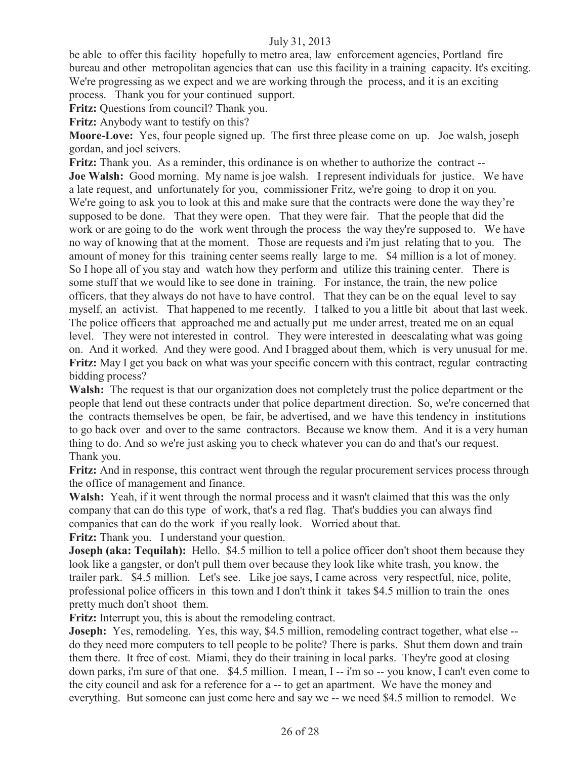be able to offer this facility hopefully to metro area, law enforcement agencies, Portland fire bureau and other metropolitan agencies that can use this facility in a training capacity. It's exciting. We're progressing as we expect and we are working through the process, and it is an exciting process. Thank you for your continued support.

**Fritz:** Questions from council? Thank you.

**Fritz:** Anybody want to testify on this?

**Moore-Love:** Yes, four people signed up. The first three please come on up. Joe walsh, joseph gordan, and joel seivers.

**Fritz:** Thank you. As a reminder, this ordinance is on whether to authorize the contract -- **Joe Walsh:** Good morning. My name is joe walsh. I represent individuals for justice. We have a late request, and unfortunately for you, commissioner Fritz, we're going to drop it on you. We're going to ask you to look at this and make sure that the contracts were done the way they're supposed to be done. That they were open. That they were fair. That the people that did the work or are going to do the work went through the process the way they're supposed to. We have no way of knowing that at the moment. Those are requests and i'm just relating that to you. The amount of money for this training center seems really large to me. \$4 million is a lot of money. So I hope all of you stay and watch how they perform and utilize this training center. There is some stuff that we would like to see done in training. For instance, the train, the new police officers, that they always do not have to have control. That they can be on the equal level to say myself, an activist. That happened to me recently. I talked to you a little bit about that last week. The police officers that approached me and actually put me under arrest, treated me on an equal level. They were not interested in control. They were interested in deescalating what was going on. And it worked. And they were good. And I bragged about them, which is very unusual for me. **Fritz:** May I get you back on what was your specific concern with this contract, regular contracting bidding process?

**Walsh:** The request is that our organization does not completely trust the police department or the people that lend out these contracts under that police department direction. So, we're concerned that the contracts themselves be open, be fair, be advertised, and we have this tendency in institutions to go back over and over to the same contractors. Because we know them. And it is a very human thing to do. And so we're just asking you to check whatever you can do and that's our request. Thank you.

**Fritz:** And in response, this contract went through the regular procurement services process through the office of management and finance.

**Walsh:** Yeah, if it went through the normal process and it wasn't claimed that this was the only company that can do this type of work, that's a red flag. That's buddies you can always find companies that can do the work if you really look. Worried about that.

**Fritz:** Thank you. I understand your question.

**Joseph (aka: Tequilah):** Hello. \$4.5 million to tell a police officer don't shoot them because they look like a gangster, or don't pull them over because they look like white trash, you know, the trailer park. \$4.5 million. Let's see. Like joe says, I came across very respectful, nice, polite, professional police officers in this town and I don't think it takes \$4.5 million to train the ones pretty much don't shoot them.

**Fritz:** Interrupt you, this is about the remodeling contract.

**Joseph:** Yes, remodeling. Yes, this way, \$4.5 million, remodeling contract together, what else -do they need more computers to tell people to be polite? There is parks. Shut them down and train them there. It free of cost. Miami, they do their training in local parks. They're good at closing down parks, i'm sure of that one. \$4.5 million. I mean, I -- i'm so -- you know, I can't even come to the city council and ask for a reference for a -- to get an apartment. We have the money and everything. But someone can just come here and say we -- we need \$4.5 million to remodel. We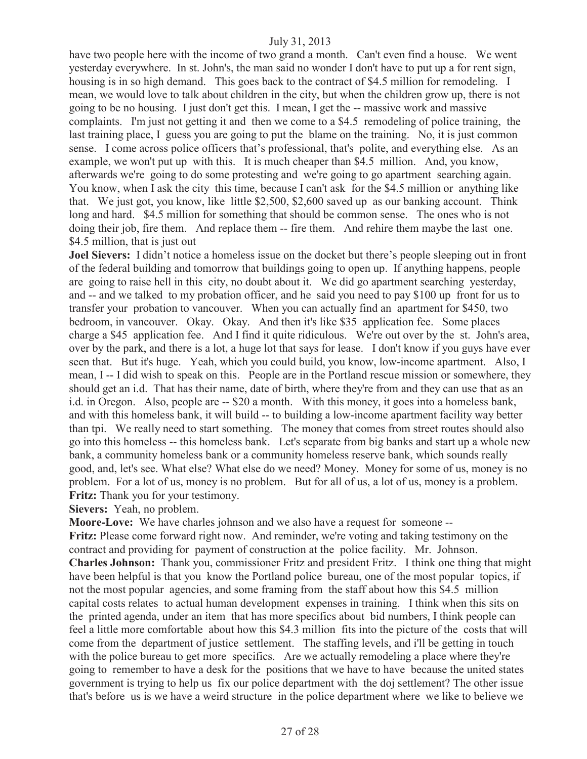have two people here with the income of two grand a month. Can't even find a house. We went yesterday everywhere. In st. John's, the man said no wonder I don't have to put up a for rent sign, housing is in so high demand. This goes back to the contract of \$4.5 million for remodeling. I mean, we would love to talk about children in the city, but when the children grow up, there is not going to be no housing. I just don't get this. I mean, I get the -- massive work and massive complaints. I'm just not getting it and then we come to a \$4.5 remodeling of police training, the last training place, I guess you are going to put the blame on the training. No, it is just common sense. I come across police officers that's professional, that's polite, and everything else. As an example, we won't put up with this. It is much cheaper than \$4.5 million. And, you know, afterwards we're going to do some protesting and we're going to go apartment searching again. You know, when I ask the city this time, because I can't ask for the \$4.5 million or anything like that. We just got, you know, like little \$2,500, \$2,600 saved up as our banking account. Think long and hard. \$4.5 million for something that should be common sense. The ones who is not doing their job, fire them. And replace them -- fire them. And rehire them maybe the last one. \$4.5 million, that is just out

**Joel Sievers:** I didn't notice a homeless issue on the docket but there's people sleeping out in front of the federal building and tomorrow that buildings going to open up. If anything happens, people are going to raise hell in this city, no doubt about it. We did go apartment searching yesterday, and -- and we talked to my probation officer, and he said you need to pay \$100 up front for us to transfer your probation to vancouver. When you can actually find an apartment for \$450, two bedroom, in vancouver. Okay. Okay. And then it's like \$35 application fee. Some places charge a \$45 application fee. And I find it quite ridiculous. We're out over by the st. John's area, over by the park, and there is a lot, a huge lot that says for lease. I don't know if you guys have ever seen that. But it's huge. Yeah, which you could build, you know, low-income apartment. Also, I mean, I -- I did wish to speak on this. People are in the Portland rescue mission or somewhere, they should get an i.d. That has their name, date of birth, where they're from and they can use that as an i.d. in Oregon. Also, people are -- \$20 a month. With this money, it goes into a homeless bank, and with this homeless bank, it will build -- to building a low-income apartment facility way better than tpi. We really need to start something. The money that comes from street routes should also go into this homeless -- this homeless bank. Let's separate from big banks and start up a whole new bank, a community homeless bank or a community homeless reserve bank, which sounds really good, and, let's see. What else? What else do we need? Money. Money for some of us, money is no problem. For a lot of us, money is no problem. But for all of us, a lot of us, money is a problem. **Fritz:** Thank you for your testimony.

**Sievers:** Yeah, no problem.

**Moore-Love:** We have charles johnson and we also have a request for someone -- **Fritz:** Please come forward right now. And reminder, we're voting and taking testimony on the contract and providing for payment of construction at the police facility. Mr. Johnson. **Charles Johnson:** Thank you, commissioner Fritz and president Fritz. I think one thing that might have been helpful is that you know the Portland police bureau, one of the most popular topics, if not the most popular agencies, and some framing from the staff about how this \$4.5 million capital costs relates to actual human development expenses in training. I think when this sits on the printed agenda, under an item that has more specifics about bid numbers, I think people can feel a little more comfortable about how this \$4.3 million fits into the picture of the costs that will come from the department of justice settlement. The staffing levels, and i'll be getting in touch with the police bureau to get more specifics. Are we actually remodeling a place where they're going to remember to have a desk for the positions that we have to have because the united states government is trying to help us fix our police department with the doj settlement? The other issue that's before us is we have a weird structure in the police department where we like to believe we